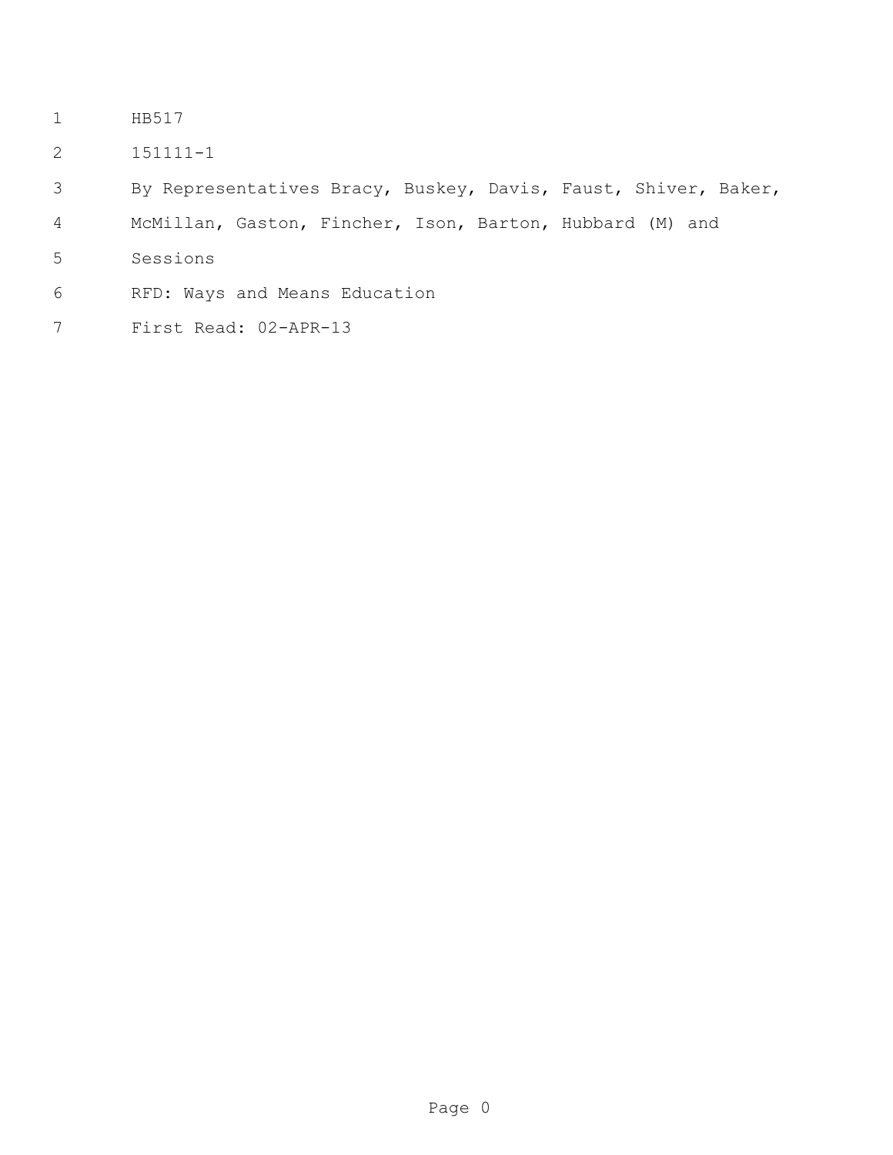- HB517
- 151111-1
- By Representatives Bracy, Buskey, Davis, Faust, Shiver, Baker,
- McMillan, Gaston, Fincher, Ison, Barton, Hubbard (M) and
- Sessions
- RFD: Ways and Means Education
- First Read: 02-APR-13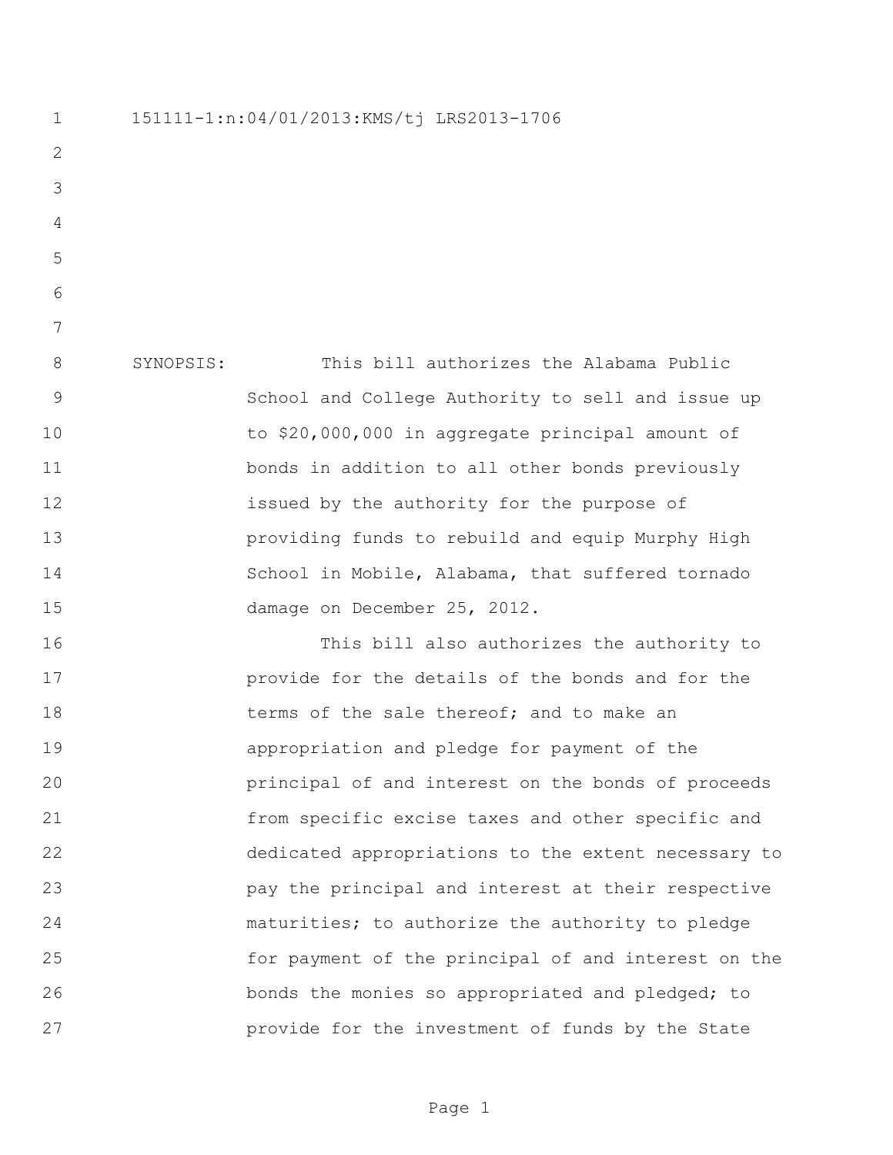151111-1:n:04/01/2013:KMS/tj LRS2013-1706 SYNOPSIS: This bill authorizes the Alabama Public School and College Authority to sell and issue up to \$20,000,000 in aggregate principal amount of bonds in addition to all other bonds previously issued by the authority for the purpose of providing funds to rebuild and equip Murphy High School in Mobile, Alabama, that suffered tornado damage on December 25, 2012. This bill also authorizes the authority to provide for the details of the bonds and for the 18 terms of the sale thereof; and to make an appropriation and pledge for payment of the principal of and interest on the bonds of proceeds from specific excise taxes and other specific and dedicated appropriations to the extent necessary to pay the principal and interest at their respective maturities; to authorize the authority to pledge for payment of the principal of and interest on the bonds the monies so appropriated and pledged; to provide for the investment of funds by the State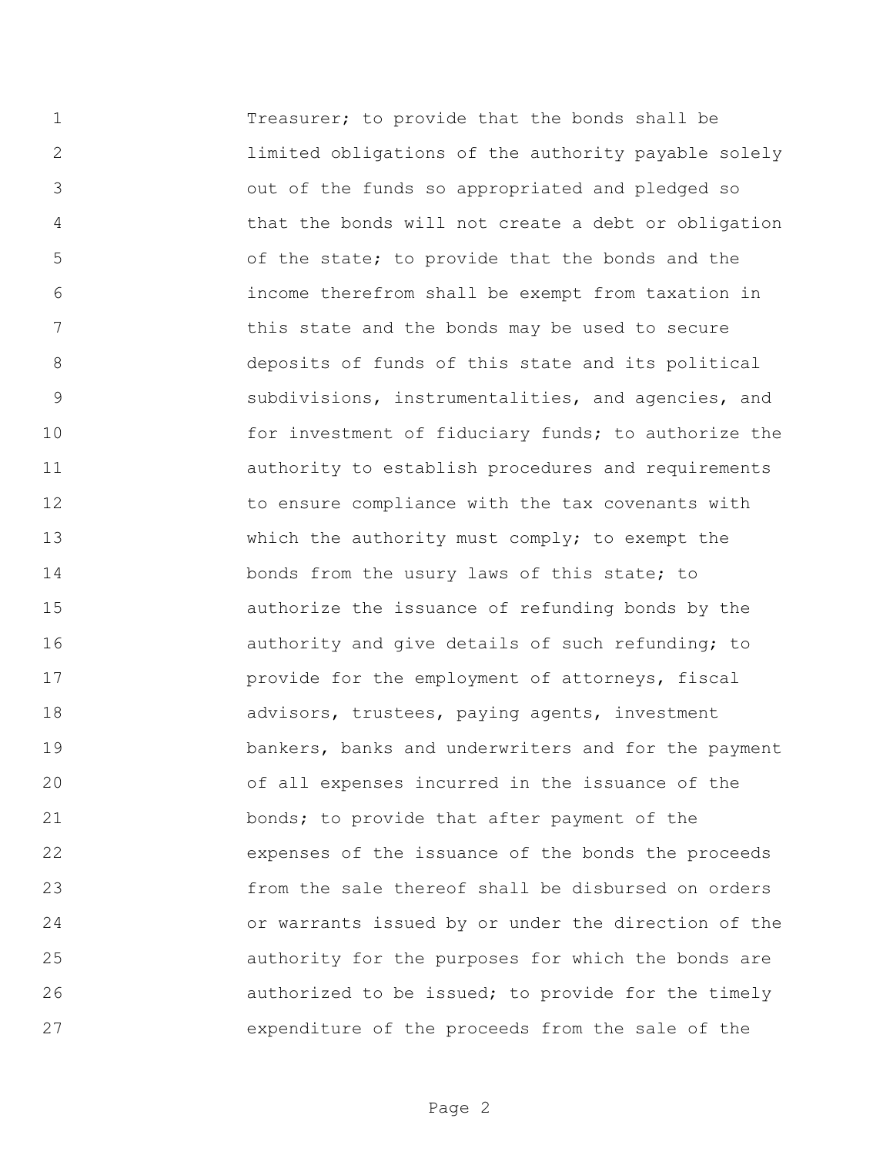Treasurer; to provide that the bonds shall be limited obligations of the authority payable solely out of the funds so appropriated and pledged so that the bonds will not create a debt or obligation of the state; to provide that the bonds and the income therefrom shall be exempt from taxation in 7 this state and the bonds may be used to secure deposits of funds of this state and its political subdivisions, instrumentalities, and agencies, and 10 for investment of fiduciary funds; to authorize the authority to establish procedures and requirements to ensure compliance with the tax covenants with 13 Which the authority must comply; to exempt the 14 bonds from the usury laws of this state; to authorize the issuance of refunding bonds by the **16 authority** and give details of such refunding; to **provide for the employment of attorneys, fiscal** 18 advisors, trustees, paying agents, investment bankers, banks and underwriters and for the payment of all expenses incurred in the issuance of the bonds; to provide that after payment of the expenses of the issuance of the bonds the proceeds from the sale thereof shall be disbursed on orders or warrants issued by or under the direction of the authority for the purposes for which the bonds are authorized to be issued; to provide for the timely expenditure of the proceeds from the sale of the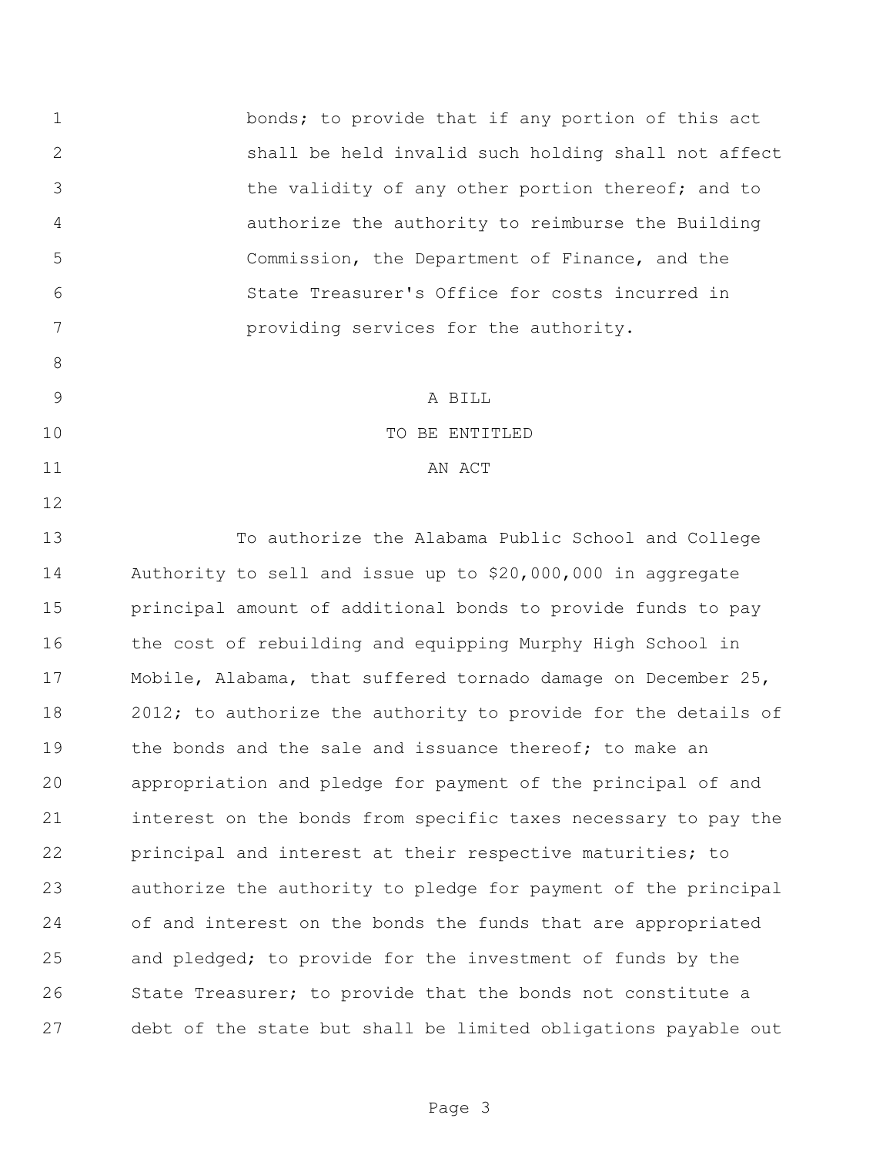bonds; to provide that if any portion of this act shall be held invalid such holding shall not affect the validity of any other portion thereof; and to authorize the authority to reimburse the Building Commission, the Department of Finance, and the State Treasurer's Office for costs incurred in providing services for the authority. A BILL TO BE ENTITLED 11 AN ACT To authorize the Alabama Public School and College Authority to sell and issue up to \$20,000,000 in aggregate principal amount of additional bonds to provide funds to pay the cost of rebuilding and equipping Murphy High School in Mobile, Alabama, that suffered tornado damage on December 25, 2012; to authorize the authority to provide for the details of 19 the bonds and the sale and issuance thereof: to make an appropriation and pledge for payment of the principal of and interest on the bonds from specific taxes necessary to pay the principal and interest at their respective maturities; to authorize the authority to pledge for payment of the principal of and interest on the bonds the funds that are appropriated and pledged; to provide for the investment of funds by the 26 State Treasurer; to provide that the bonds not constitute a debt of the state but shall be limited obligations payable out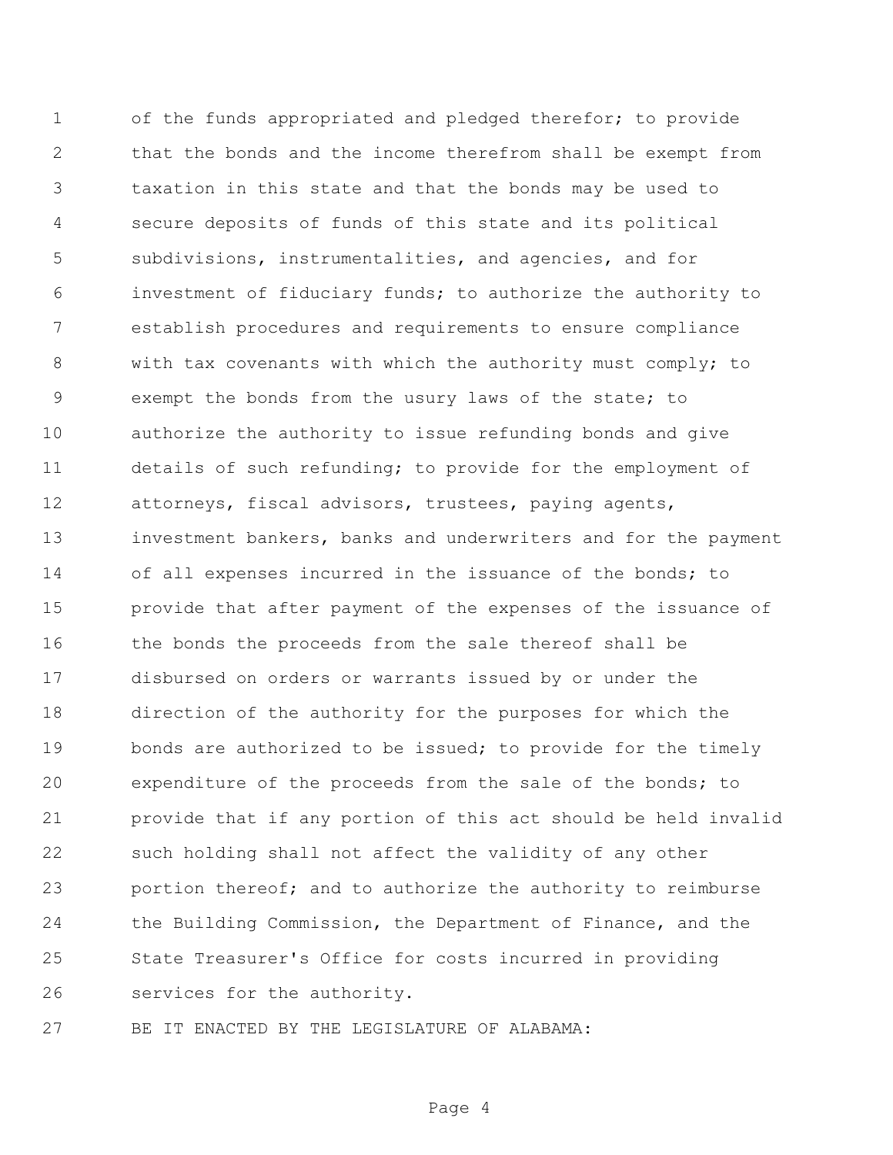of the funds appropriated and pledged therefor; to provide that the bonds and the income therefrom shall be exempt from taxation in this state and that the bonds may be used to secure deposits of funds of this state and its political subdivisions, instrumentalities, and agencies, and for investment of fiduciary funds; to authorize the authority to establish procedures and requirements to ensure compliance with tax covenants with which the authority must comply; to exempt the bonds from the usury laws of the state; to authorize the authority to issue refunding bonds and give details of such refunding; to provide for the employment of attorneys, fiscal advisors, trustees, paying agents, investment bankers, banks and underwriters and for the payment of all expenses incurred in the issuance of the bonds; to provide that after payment of the expenses of the issuance of the bonds the proceeds from the sale thereof shall be disbursed on orders or warrants issued by or under the direction of the authority for the purposes for which the 19 bonds are authorized to be issued; to provide for the timely expenditure of the proceeds from the sale of the bonds; to provide that if any portion of this act should be held invalid such holding shall not affect the validity of any other portion thereof; and to authorize the authority to reimburse the Building Commission, the Department of Finance, and the State Treasurer's Office for costs incurred in providing services for the authority.

BE IT ENACTED BY THE LEGISLATURE OF ALABAMA:

Page 4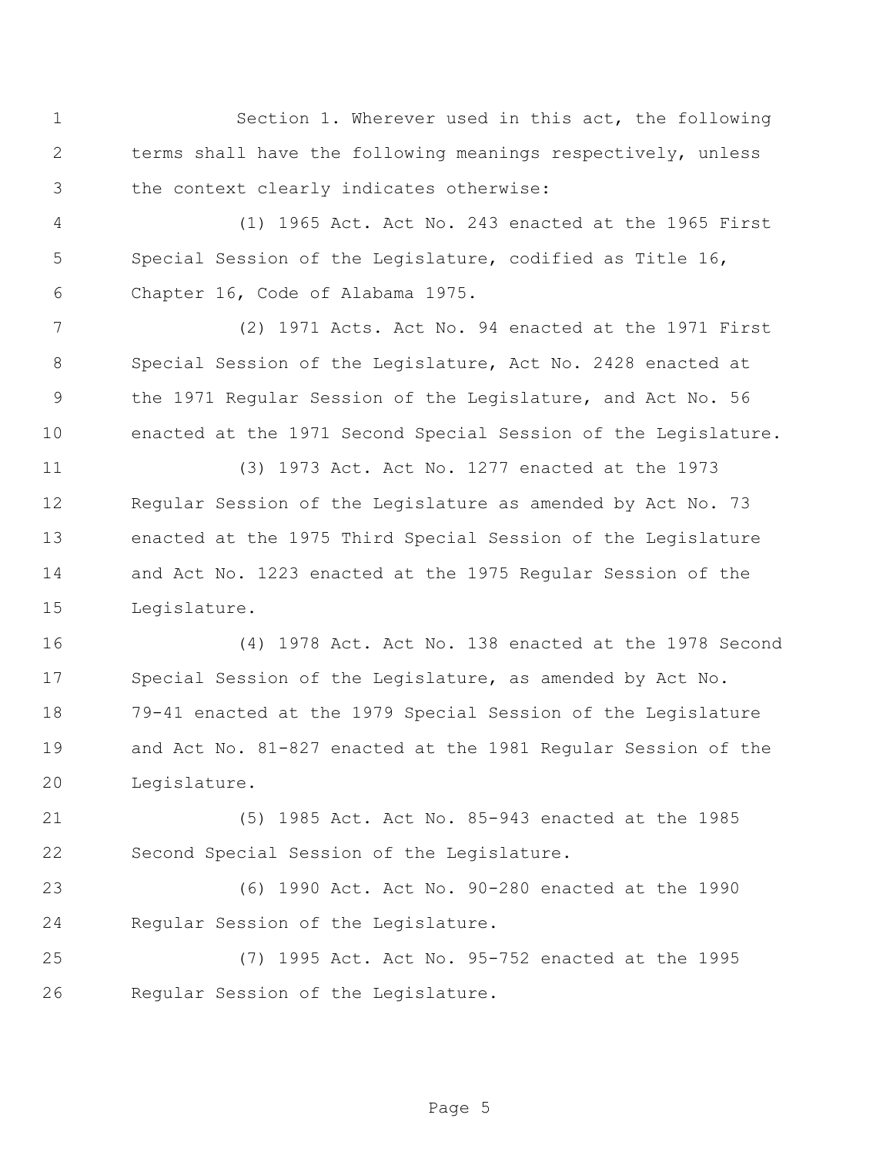Section 1. Wherever used in this act, the following terms shall have the following meanings respectively, unless the context clearly indicates otherwise:

 (1) 1965 Act. Act No. 243 enacted at the 1965 First Special Session of the Legislature, codified as Title 16, Chapter 16, Code of Alabama 1975.

 (2) 1971 Acts. Act No. 94 enacted at the 1971 First Special Session of the Legislature, Act No. 2428 enacted at the 1971 Regular Session of the Legislature, and Act No. 56 enacted at the 1971 Second Special Session of the Legislature.

 (3) 1973 Act. Act No. 1277 enacted at the 1973 Regular Session of the Legislature as amended by Act No. 73 enacted at the 1975 Third Special Session of the Legislature and Act No. 1223 enacted at the 1975 Regular Session of the Legislature.

 (4) 1978 Act. Act No. 138 enacted at the 1978 Second Special Session of the Legislature, as amended by Act No. 79-41 enacted at the 1979 Special Session of the Legislature and Act No. 81-827 enacted at the 1981 Regular Session of the Legislature.

 (5) 1985 Act. Act No. 85-943 enacted at the 1985 Second Special Session of the Legislature.

 (6) 1990 Act. Act No. 90-280 enacted at the 1990 Regular Session of the Legislature.

 (7) 1995 Act. Act No. 95-752 enacted at the 1995 Regular Session of the Legislature.

Page 5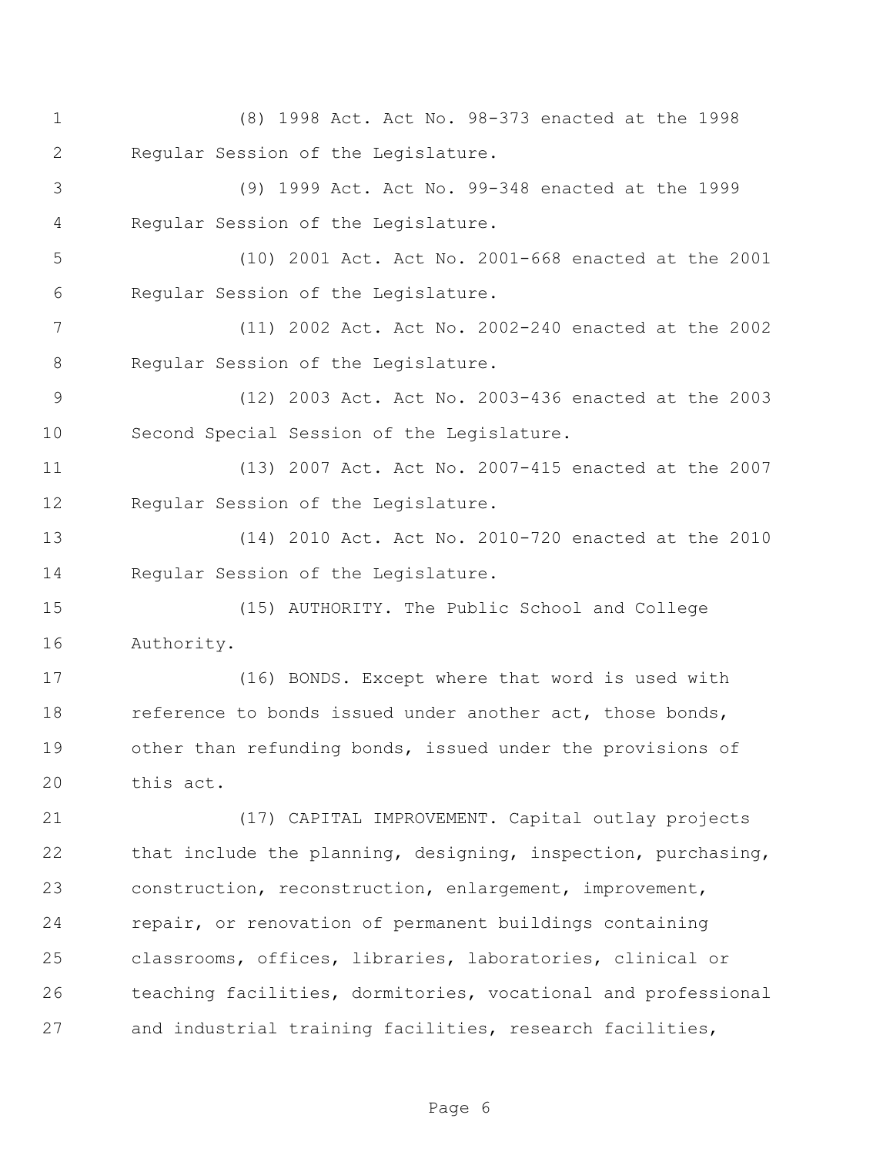- (8) 1998 Act. Act No. 98-373 enacted at the 1998 Regular Session of the Legislature.
- (9) 1999 Act. Act No. 99-348 enacted at the 1999 Regular Session of the Legislature.

 (10) 2001 Act. Act No. 2001-668 enacted at the 2001 Regular Session of the Legislature.

 (11) 2002 Act. Act No. 2002-240 enacted at the 2002 8 Regular Session of the Legislature.

 (12) 2003 Act. Act No. 2003-436 enacted at the 2003 Second Special Session of the Legislature.

 (13) 2007 Act. Act No. 2007-415 enacted at the 2007 Regular Session of the Legislature.

 (14) 2010 Act. Act No. 2010-720 enacted at the 2010 14 Regular Session of the Legislature.

 (15) AUTHORITY. The Public School and College Authority.

 (16) BONDS. Except where that word is used with 18 reference to bonds issued under another act, those bonds, other than refunding bonds, issued under the provisions of this act.

 (17) CAPITAL IMPROVEMENT. Capital outlay projects that include the planning, designing, inspection, purchasing, construction, reconstruction, enlargement, improvement, repair, or renovation of permanent buildings containing classrooms, offices, libraries, laboratories, clinical or teaching facilities, dormitories, vocational and professional and industrial training facilities, research facilities,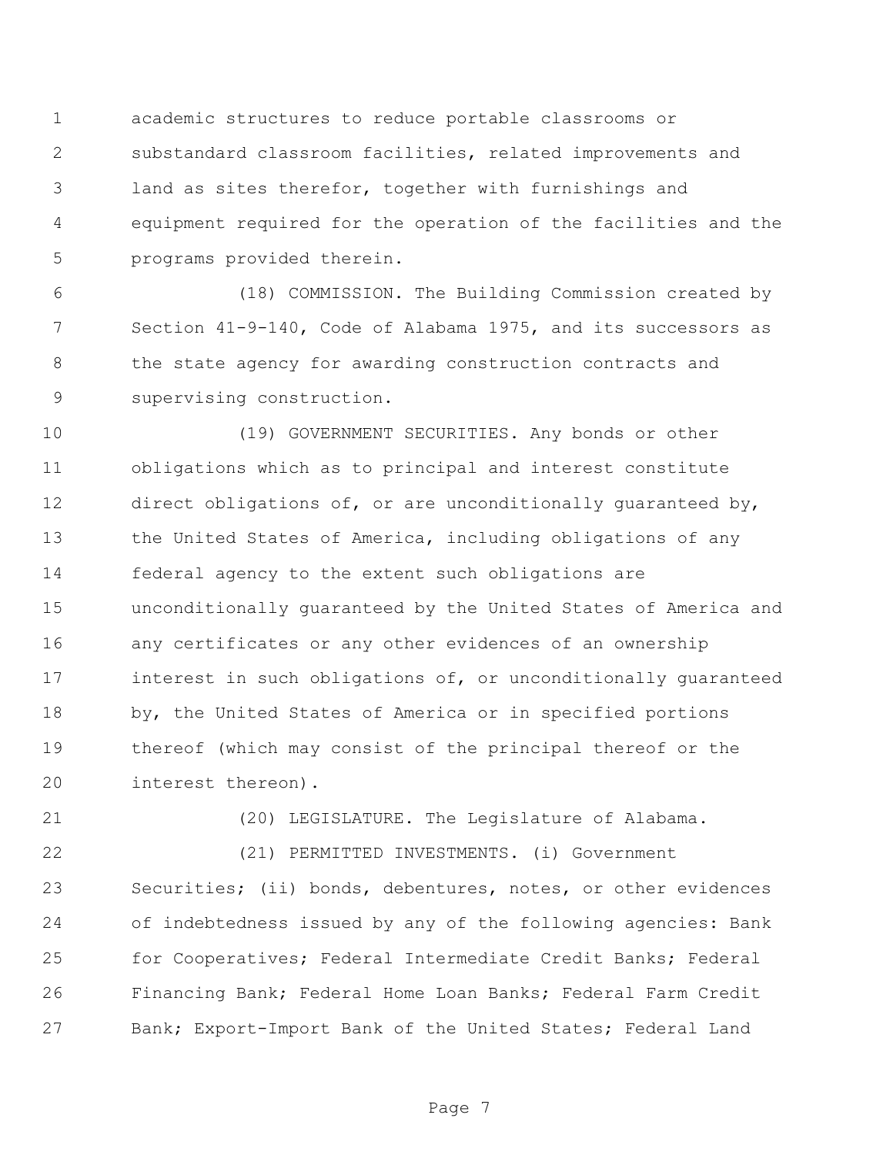academic structures to reduce portable classrooms or substandard classroom facilities, related improvements and land as sites therefor, together with furnishings and equipment required for the operation of the facilities and the programs provided therein.

 (18) COMMISSION. The Building Commission created by Section 41-9-140, Code of Alabama 1975, and its successors as 8 the state agency for awarding construction contracts and supervising construction.

 (19) GOVERNMENT SECURITIES. Any bonds or other obligations which as to principal and interest constitute direct obligations of, or are unconditionally guaranteed by, the United States of America, including obligations of any federal agency to the extent such obligations are unconditionally guaranteed by the United States of America and any certificates or any other evidences of an ownership interest in such obligations of, or unconditionally guaranteed by, the United States of America or in specified portions thereof (which may consist of the principal thereof or the interest thereon).

(20) LEGISLATURE. The Legislature of Alabama.

 (21) PERMITTED INVESTMENTS. (i) Government Securities; (ii) bonds, debentures, notes, or other evidences of indebtedness issued by any of the following agencies: Bank for Cooperatives; Federal Intermediate Credit Banks; Federal Financing Bank; Federal Home Loan Banks; Federal Farm Credit Bank; Export-Import Bank of the United States; Federal Land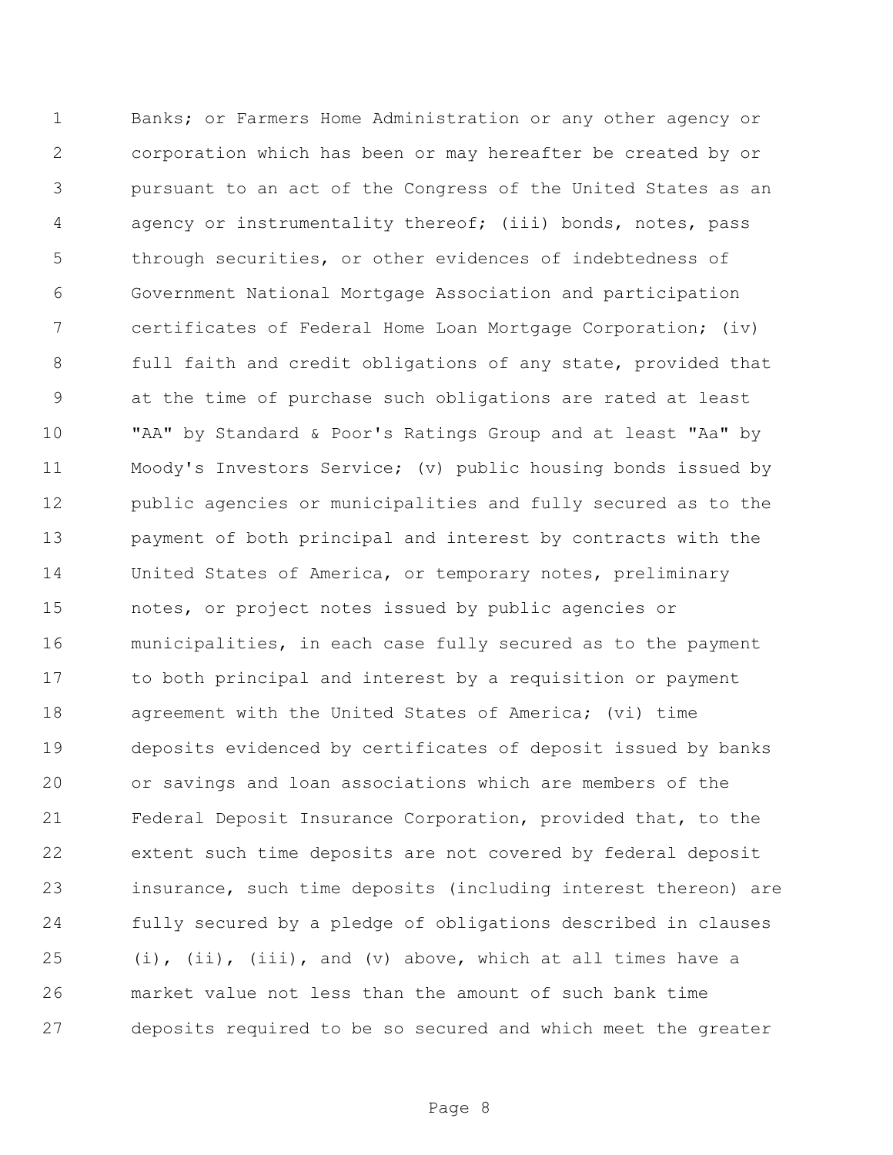Banks; or Farmers Home Administration or any other agency or corporation which has been or may hereafter be created by or pursuant to an act of the Congress of the United States as an agency or instrumentality thereof; (iii) bonds, notes, pass through securities, or other evidences of indebtedness of Government National Mortgage Association and participation certificates of Federal Home Loan Mortgage Corporation; (iv) full faith and credit obligations of any state, provided that at the time of purchase such obligations are rated at least "AA" by Standard & Poor's Ratings Group and at least "Aa" by Moody's Investors Service; (v) public housing bonds issued by public agencies or municipalities and fully secured as to the payment of both principal and interest by contracts with the United States of America, or temporary notes, preliminary notes, or project notes issued by public agencies or municipalities, in each case fully secured as to the payment to both principal and interest by a requisition or payment agreement with the United States of America; (vi) time deposits evidenced by certificates of deposit issued by banks or savings and loan associations which are members of the Federal Deposit Insurance Corporation, provided that, to the extent such time deposits are not covered by federal deposit insurance, such time deposits (including interest thereon) are fully secured by a pledge of obligations described in clauses  $(i)$ ,  $(ii)$ ,  $(iii)$ , and  $(v)$  above, which at all times have a market value not less than the amount of such bank time deposits required to be so secured and which meet the greater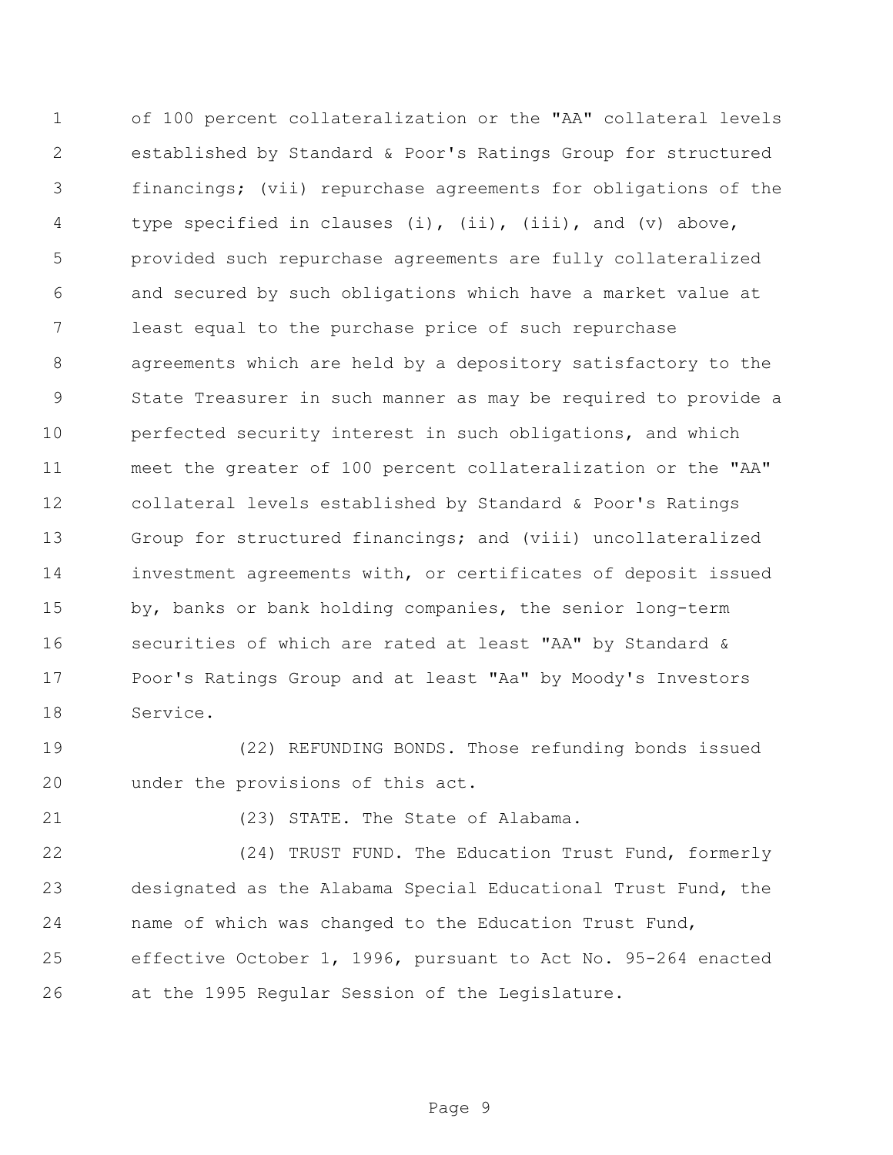of 100 percent collateralization or the "AA" collateral levels established by Standard & Poor's Ratings Group for structured financings; (vii) repurchase agreements for obligations of the 4 type specified in clauses (i), (ii), (iii), and (v) above, provided such repurchase agreements are fully collateralized and secured by such obligations which have a market value at least equal to the purchase price of such repurchase agreements which are held by a depository satisfactory to the State Treasurer in such manner as may be required to provide a perfected security interest in such obligations, and which meet the greater of 100 percent collateralization or the "AA" collateral levels established by Standard & Poor's Ratings Group for structured financings; and (viii) uncollateralized investment agreements with, or certificates of deposit issued by, banks or bank holding companies, the senior long-term securities of which are rated at least "AA" by Standard & Poor's Ratings Group and at least "Aa" by Moody's Investors Service.

 (22) REFUNDING BONDS. Those refunding bonds issued under the provisions of this act.

21 (23) STATE. The State of Alabama.

 (24) TRUST FUND. The Education Trust Fund, formerly designated as the Alabama Special Educational Trust Fund, the name of which was changed to the Education Trust Fund, effective October 1, 1996, pursuant to Act No. 95-264 enacted at the 1995 Regular Session of the Legislature.

Page 9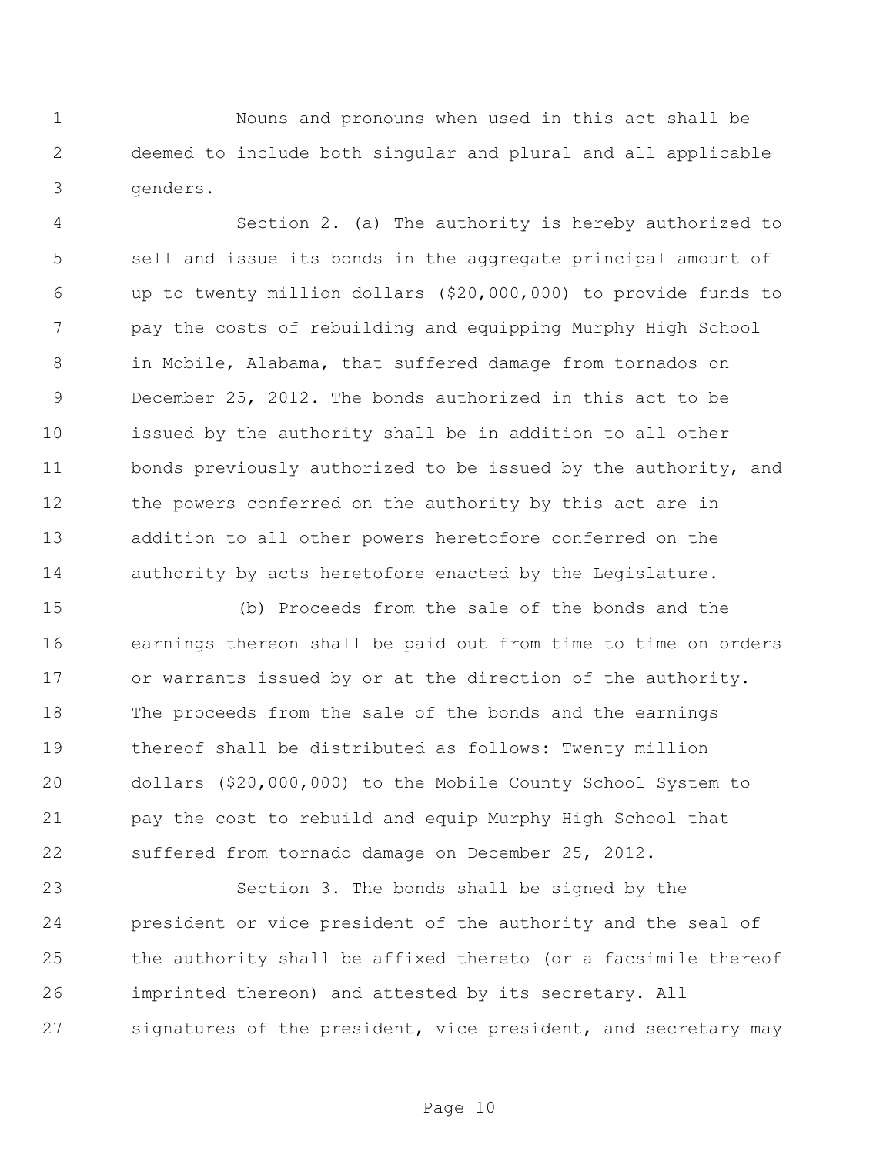Nouns and pronouns when used in this act shall be deemed to include both singular and plural and all applicable genders.

 Section 2. (a) The authority is hereby authorized to sell and issue its bonds in the aggregate principal amount of up to twenty million dollars (\$20,000,000) to provide funds to pay the costs of rebuilding and equipping Murphy High School in Mobile, Alabama, that suffered damage from tornados on December 25, 2012. The bonds authorized in this act to be issued by the authority shall be in addition to all other bonds previously authorized to be issued by the authority, and 12 the powers conferred on the authority by this act are in addition to all other powers heretofore conferred on the 14 authority by acts heretofore enacted by the Legislature.

 (b) Proceeds from the sale of the bonds and the earnings thereon shall be paid out from time to time on orders or warrants issued by or at the direction of the authority. The proceeds from the sale of the bonds and the earnings thereof shall be distributed as follows: Twenty million dollars (\$20,000,000) to the Mobile County School System to pay the cost to rebuild and equip Murphy High School that suffered from tornado damage on December 25, 2012.

 Section 3. The bonds shall be signed by the president or vice president of the authority and the seal of the authority shall be affixed thereto (or a facsimile thereof imprinted thereon) and attested by its secretary. All 27 signatures of the president, vice president, and secretary may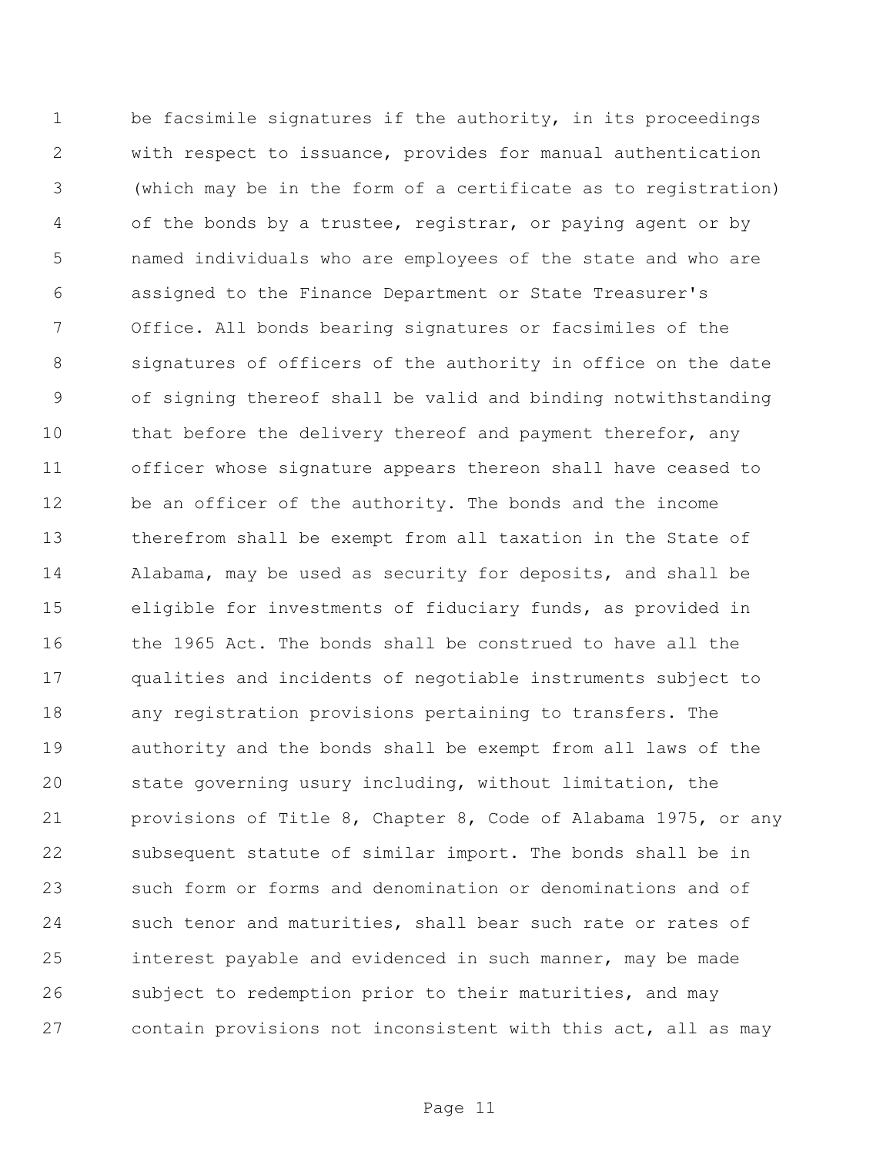1 be facsimile signatures if the authority, in its proceedings with respect to issuance, provides for manual authentication (which may be in the form of a certificate as to registration) of the bonds by a trustee, registrar, or paying agent or by named individuals who are employees of the state and who are assigned to the Finance Department or State Treasurer's Office. All bonds bearing signatures or facsimiles of the signatures of officers of the authority in office on the date of signing thereof shall be valid and binding notwithstanding 10 that before the delivery thereof and payment therefor, any officer whose signature appears thereon shall have ceased to be an officer of the authority. The bonds and the income therefrom shall be exempt from all taxation in the State of Alabama, may be used as security for deposits, and shall be eligible for investments of fiduciary funds, as provided in the 1965 Act. The bonds shall be construed to have all the qualities and incidents of negotiable instruments subject to any registration provisions pertaining to transfers. The authority and the bonds shall be exempt from all laws of the state governing usury including, without limitation, the provisions of Title 8, Chapter 8, Code of Alabama 1975, or any subsequent statute of similar import. The bonds shall be in such form or forms and denomination or denominations and of 24 such tenor and maturities, shall bear such rate or rates of interest payable and evidenced in such manner, may be made subject to redemption prior to their maturities, and may contain provisions not inconsistent with this act, all as may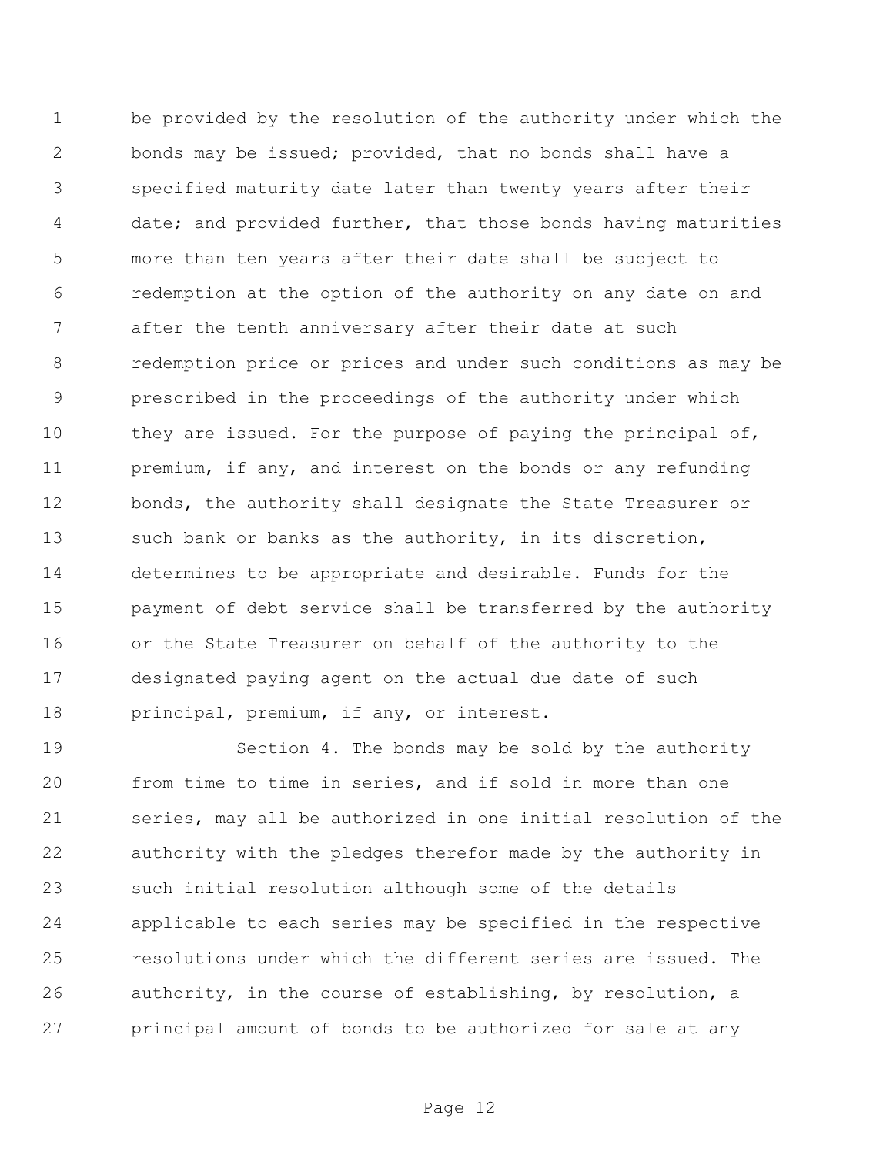be provided by the resolution of the authority under which the bonds may be issued; provided, that no bonds shall have a specified maturity date later than twenty years after their date; and provided further, that those bonds having maturities more than ten years after their date shall be subject to redemption at the option of the authority on any date on and after the tenth anniversary after their date at such redemption price or prices and under such conditions as may be prescribed in the proceedings of the authority under which 10 they are issued. For the purpose of paying the principal of, premium, if any, and interest on the bonds or any refunding bonds, the authority shall designate the State Treasurer or 13 such bank or banks as the authority, in its discretion, determines to be appropriate and desirable. Funds for the payment of debt service shall be transferred by the authority or the State Treasurer on behalf of the authority to the designated paying agent on the actual due date of such 18 principal, premium, if any, or interest.

 Section 4. The bonds may be sold by the authority from time to time in series, and if sold in more than one series, may all be authorized in one initial resolution of the authority with the pledges therefor made by the authority in such initial resolution although some of the details applicable to each series may be specified in the respective resolutions under which the different series are issued. The authority, in the course of establishing, by resolution, a principal amount of bonds to be authorized for sale at any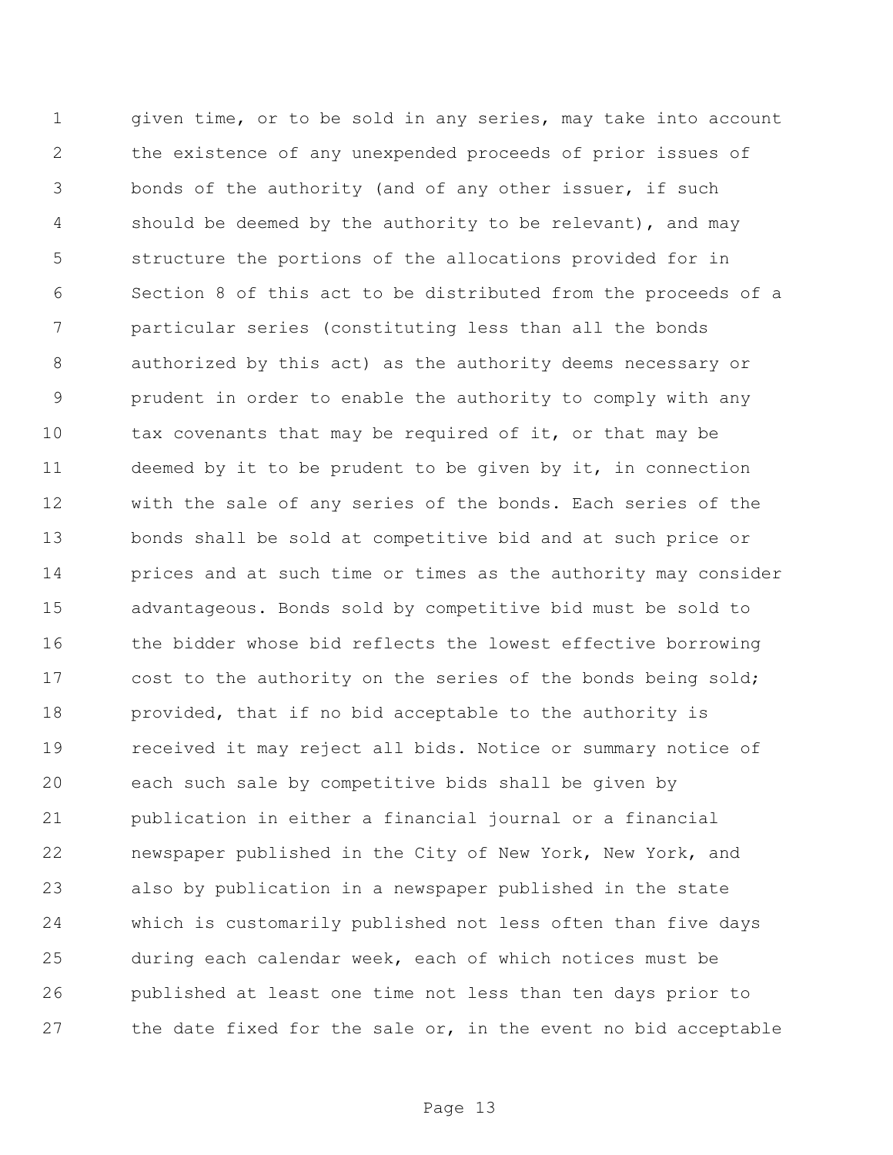1 given time, or to be sold in any series, may take into account the existence of any unexpended proceeds of prior issues of bonds of the authority (and of any other issuer, if such should be deemed by the authority to be relevant), and may structure the portions of the allocations provided for in Section 8 of this act to be distributed from the proceeds of a particular series (constituting less than all the bonds authorized by this act) as the authority deems necessary or prudent in order to enable the authority to comply with any 10 tax covenants that may be required of it, or that may be deemed by it to be prudent to be given by it, in connection with the sale of any series of the bonds. Each series of the bonds shall be sold at competitive bid and at such price or prices and at such time or times as the authority may consider advantageous. Bonds sold by competitive bid must be sold to 16 the bidder whose bid reflects the lowest effective borrowing 17 cost to the authority on the series of the bonds being sold; provided, that if no bid acceptable to the authority is received it may reject all bids. Notice or summary notice of each such sale by competitive bids shall be given by publication in either a financial journal or a financial newspaper published in the City of New York, New York, and also by publication in a newspaper published in the state which is customarily published not less often than five days during each calendar week, each of which notices must be published at least one time not less than ten days prior to the date fixed for the sale or, in the event no bid acceptable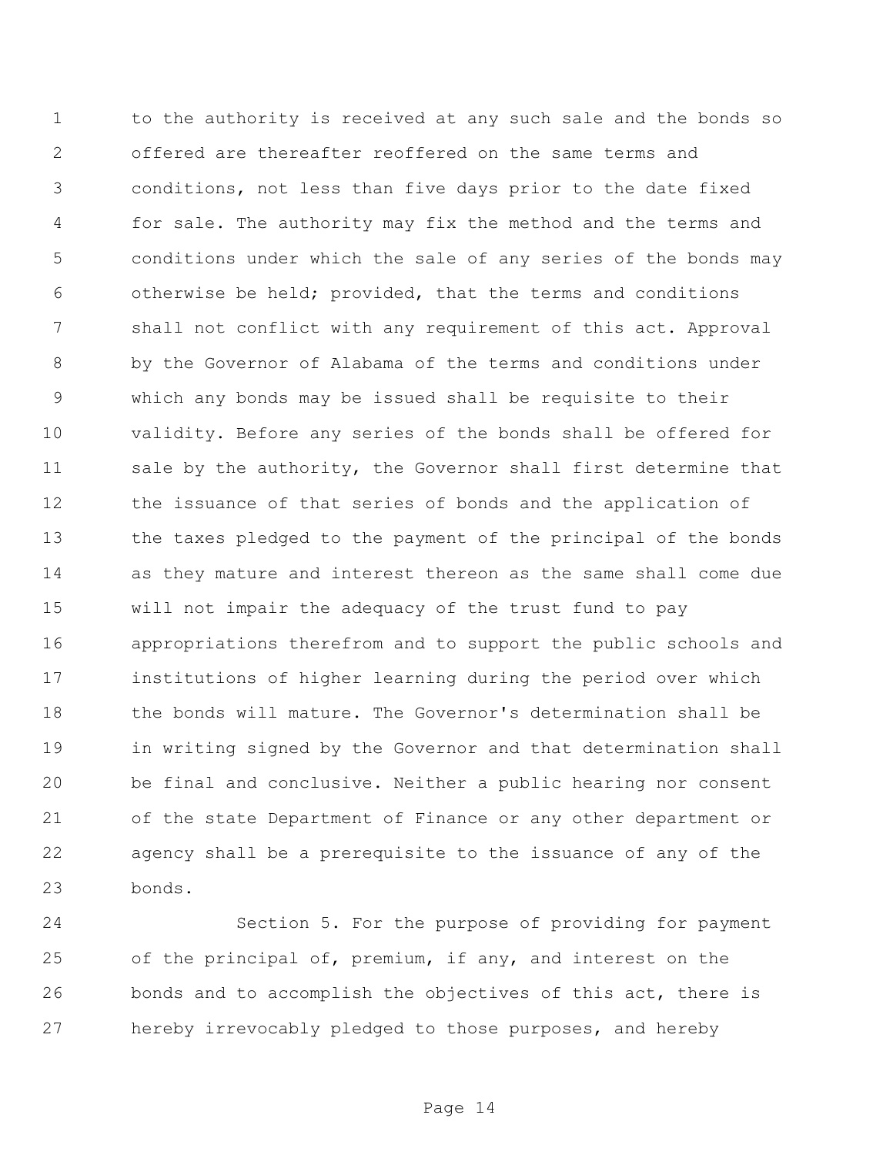to the authority is received at any such sale and the bonds so offered are thereafter reoffered on the same terms and conditions, not less than five days prior to the date fixed for sale. The authority may fix the method and the terms and conditions under which the sale of any series of the bonds may otherwise be held; provided, that the terms and conditions shall not conflict with any requirement of this act. Approval by the Governor of Alabama of the terms and conditions under which any bonds may be issued shall be requisite to their validity. Before any series of the bonds shall be offered for sale by the authority, the Governor shall first determine that the issuance of that series of bonds and the application of the taxes pledged to the payment of the principal of the bonds as they mature and interest thereon as the same shall come due will not impair the adequacy of the trust fund to pay appropriations therefrom and to support the public schools and institutions of higher learning during the period over which the bonds will mature. The Governor's determination shall be in writing signed by the Governor and that determination shall be final and conclusive. Neither a public hearing nor consent of the state Department of Finance or any other department or agency shall be a prerequisite to the issuance of any of the bonds.

 Section 5. For the purpose of providing for payment 25 of the principal of, premium, if any, and interest on the bonds and to accomplish the objectives of this act, there is hereby irrevocably pledged to those purposes, and hereby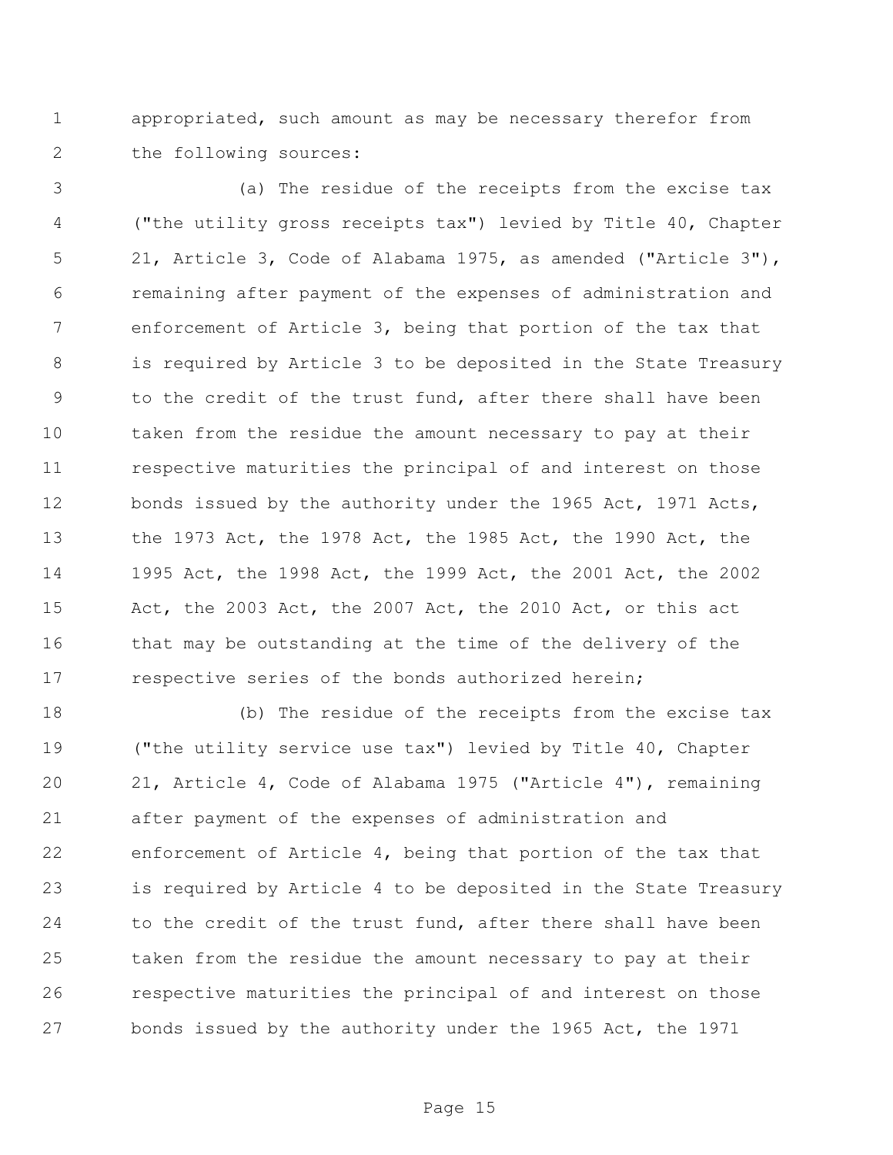appropriated, such amount as may be necessary therefor from the following sources:

 (a) The residue of the receipts from the excise tax ("the utility gross receipts tax") levied by Title 40, Chapter 21, Article 3, Code of Alabama 1975, as amended ("Article 3"), remaining after payment of the expenses of administration and enforcement of Article 3, being that portion of the tax that is required by Article 3 to be deposited in the State Treasury 9 to the credit of the trust fund, after there shall have been taken from the residue the amount necessary to pay at their respective maturities the principal of and interest on those bonds issued by the authority under the 1965 Act, 1971 Acts, the 1973 Act, the 1978 Act, the 1985 Act, the 1990 Act, the 1995 Act, the 1998 Act, the 1999 Act, the 2001 Act, the 2002 Act, the 2003 Act, the 2007 Act, the 2010 Act, or this act that may be outstanding at the time of the delivery of the 17 respective series of the bonds authorized herein;

 (b) The residue of the receipts from the excise tax ("the utility service use tax") levied by Title 40, Chapter 21, Article 4, Code of Alabama 1975 ("Article 4"), remaining after payment of the expenses of administration and enforcement of Article 4, being that portion of the tax that is required by Article 4 to be deposited in the State Treasury 24 to the credit of the trust fund, after there shall have been taken from the residue the amount necessary to pay at their respective maturities the principal of and interest on those bonds issued by the authority under the 1965 Act, the 1971

Page 15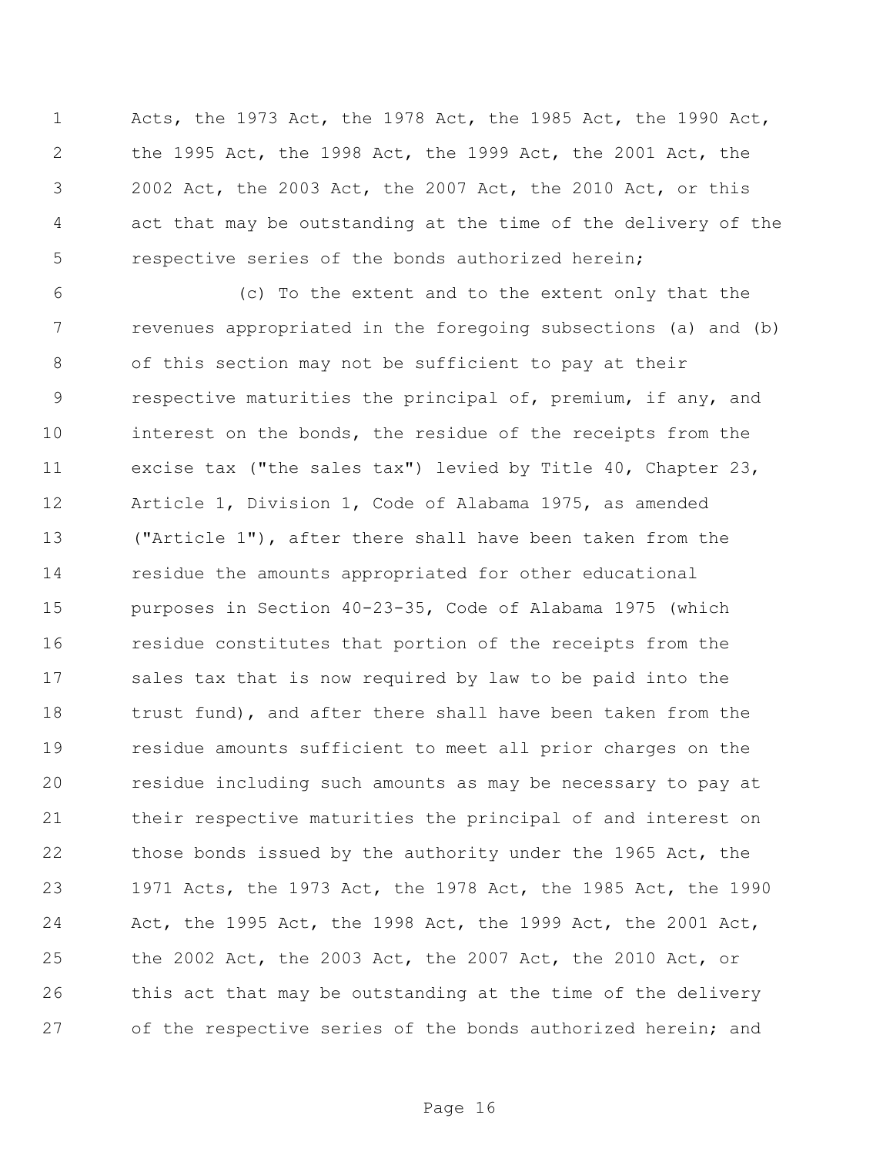Acts, the 1973 Act, the 1978 Act, the 1985 Act, the 1990 Act, the 1995 Act, the 1998 Act, the 1999 Act, the 2001 Act, the 2002 Act, the 2003 Act, the 2007 Act, the 2010 Act, or this act that may be outstanding at the time of the delivery of the respective series of the bonds authorized herein;

 (c) To the extent and to the extent only that the revenues appropriated in the foregoing subsections (a) and (b) of this section may not be sufficient to pay at their respective maturities the principal of, premium, if any, and interest on the bonds, the residue of the receipts from the excise tax ("the sales tax") levied by Title 40, Chapter 23, Article 1, Division 1, Code of Alabama 1975, as amended ("Article 1"), after there shall have been taken from the residue the amounts appropriated for other educational purposes in Section 40-23-35, Code of Alabama 1975 (which residue constitutes that portion of the receipts from the sales tax that is now required by law to be paid into the trust fund), and after there shall have been taken from the residue amounts sufficient to meet all prior charges on the residue including such amounts as may be necessary to pay at their respective maturities the principal of and interest on 22 those bonds issued by the authority under the 1965 Act, the 1971 Acts, the 1973 Act, the 1978 Act, the 1985 Act, the 1990 Act, the 1995 Act, the 1998 Act, the 1999 Act, the 2001 Act, the 2002 Act, the 2003 Act, the 2007 Act, the 2010 Act, or 26 this act that may be outstanding at the time of the delivery 27 of the respective series of the bonds authorized herein; and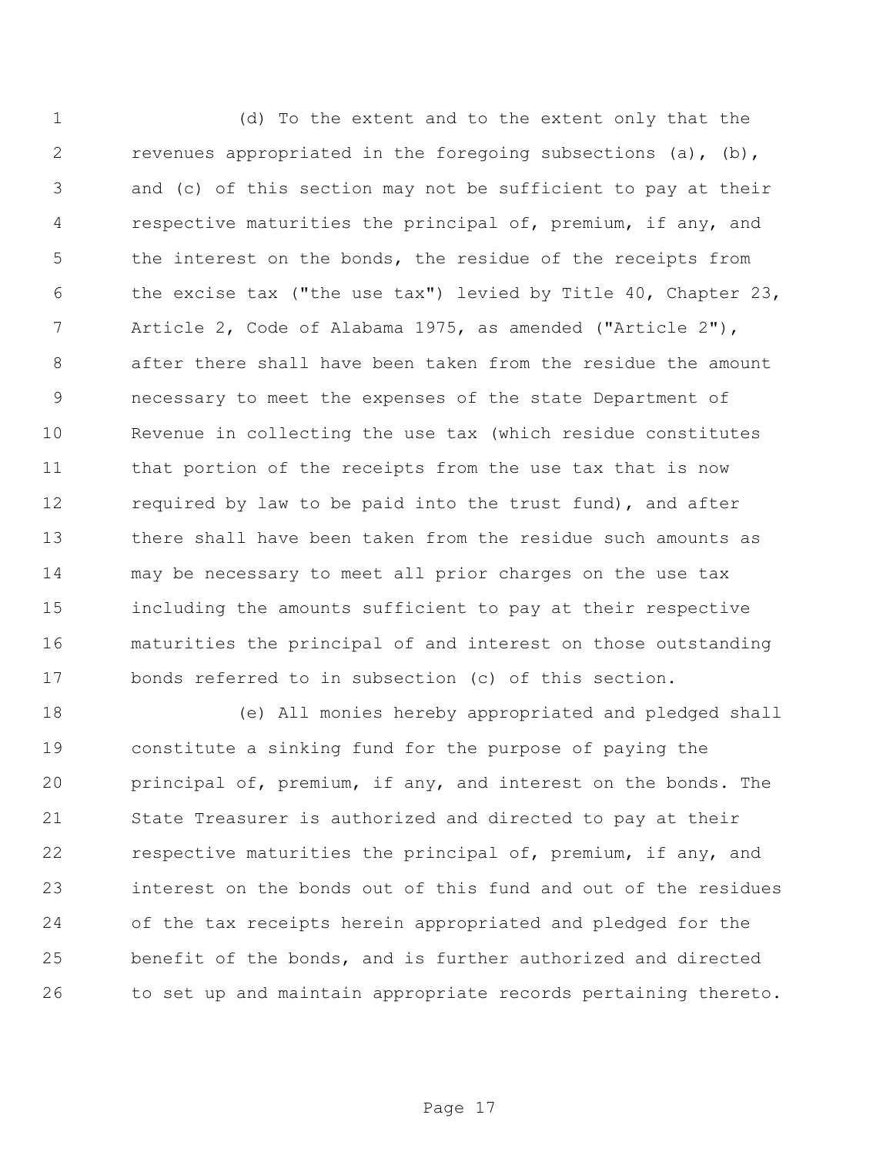(d) To the extent and to the extent only that the revenues appropriated in the foregoing subsections (a), (b), and (c) of this section may not be sufficient to pay at their respective maturities the principal of, premium, if any, and the interest on the bonds, the residue of the receipts from the excise tax ("the use tax") levied by Title 40, Chapter 23, Article 2, Code of Alabama 1975, as amended ("Article 2"), after there shall have been taken from the residue the amount necessary to meet the expenses of the state Department of Revenue in collecting the use tax (which residue constitutes that portion of the receipts from the use tax that is now required by law to be paid into the trust fund), and after there shall have been taken from the residue such amounts as may be necessary to meet all prior charges on the use tax including the amounts sufficient to pay at their respective maturities the principal of and interest on those outstanding bonds referred to in subsection (c) of this section.

 (e) All monies hereby appropriated and pledged shall constitute a sinking fund for the purpose of paying the principal of, premium, if any, and interest on the bonds. The State Treasurer is authorized and directed to pay at their respective maturities the principal of, premium, if any, and interest on the bonds out of this fund and out of the residues of the tax receipts herein appropriated and pledged for the benefit of the bonds, and is further authorized and directed to set up and maintain appropriate records pertaining thereto.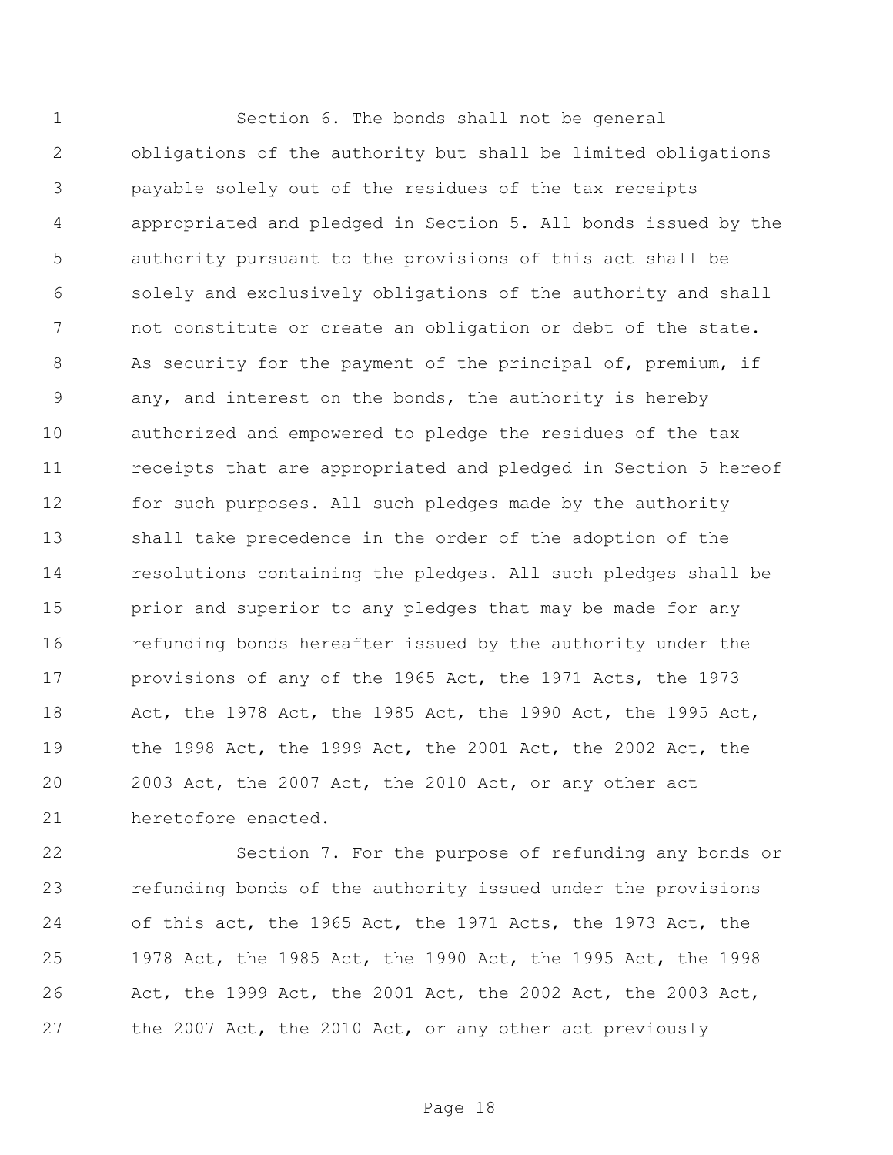Section 6. The bonds shall not be general obligations of the authority but shall be limited obligations payable solely out of the residues of the tax receipts appropriated and pledged in Section 5. All bonds issued by the authority pursuant to the provisions of this act shall be solely and exclusively obligations of the authority and shall not constitute or create an obligation or debt of the state. 8 As security for the payment of the principal of, premium, if any, and interest on the bonds, the authority is hereby authorized and empowered to pledge the residues of the tax receipts that are appropriated and pledged in Section 5 hereof for such purposes. All such pledges made by the authority shall take precedence in the order of the adoption of the resolutions containing the pledges. All such pledges shall be prior and superior to any pledges that may be made for any refunding bonds hereafter issued by the authority under the provisions of any of the 1965 Act, the 1971 Acts, the 1973 Act, the 1978 Act, the 1985 Act, the 1990 Act, the 1995 Act, the 1998 Act, the 1999 Act, the 2001 Act, the 2002 Act, the 2003 Act, the 2007 Act, the 2010 Act, or any other act heretofore enacted.

 Section 7. For the purpose of refunding any bonds or refunding bonds of the authority issued under the provisions of this act, the 1965 Act, the 1971 Acts, the 1973 Act, the 1978 Act, the 1985 Act, the 1990 Act, the 1995 Act, the 1998 Act, the 1999 Act, the 2001 Act, the 2002 Act, the 2003 Act, the 2007 Act, the 2010 Act, or any other act previously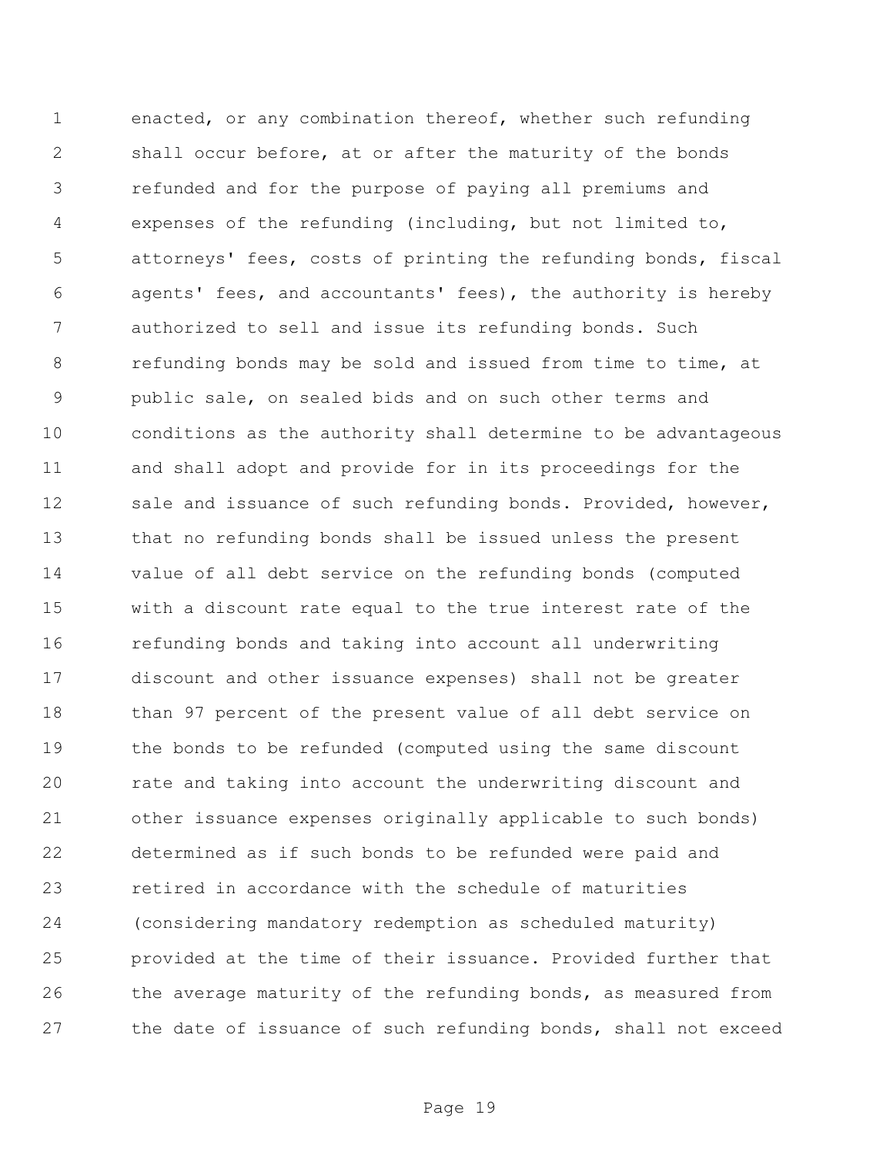enacted, or any combination thereof, whether such refunding shall occur before, at or after the maturity of the bonds refunded and for the purpose of paying all premiums and expenses of the refunding (including, but not limited to, attorneys' fees, costs of printing the refunding bonds, fiscal agents' fees, and accountants' fees), the authority is hereby authorized to sell and issue its refunding bonds. Such refunding bonds may be sold and issued from time to time, at public sale, on sealed bids and on such other terms and conditions as the authority shall determine to be advantageous and shall adopt and provide for in its proceedings for the 12 sale and issuance of such refunding bonds. Provided, however, that no refunding bonds shall be issued unless the present value of all debt service on the refunding bonds (computed with a discount rate equal to the true interest rate of the refunding bonds and taking into account all underwriting discount and other issuance expenses) shall not be greater than 97 percent of the present value of all debt service on the bonds to be refunded (computed using the same discount rate and taking into account the underwriting discount and other issuance expenses originally applicable to such bonds) determined as if such bonds to be refunded were paid and retired in accordance with the schedule of maturities (considering mandatory redemption as scheduled maturity) provided at the time of their issuance. Provided further that 26 the average maturity of the refunding bonds, as measured from the date of issuance of such refunding bonds, shall not exceed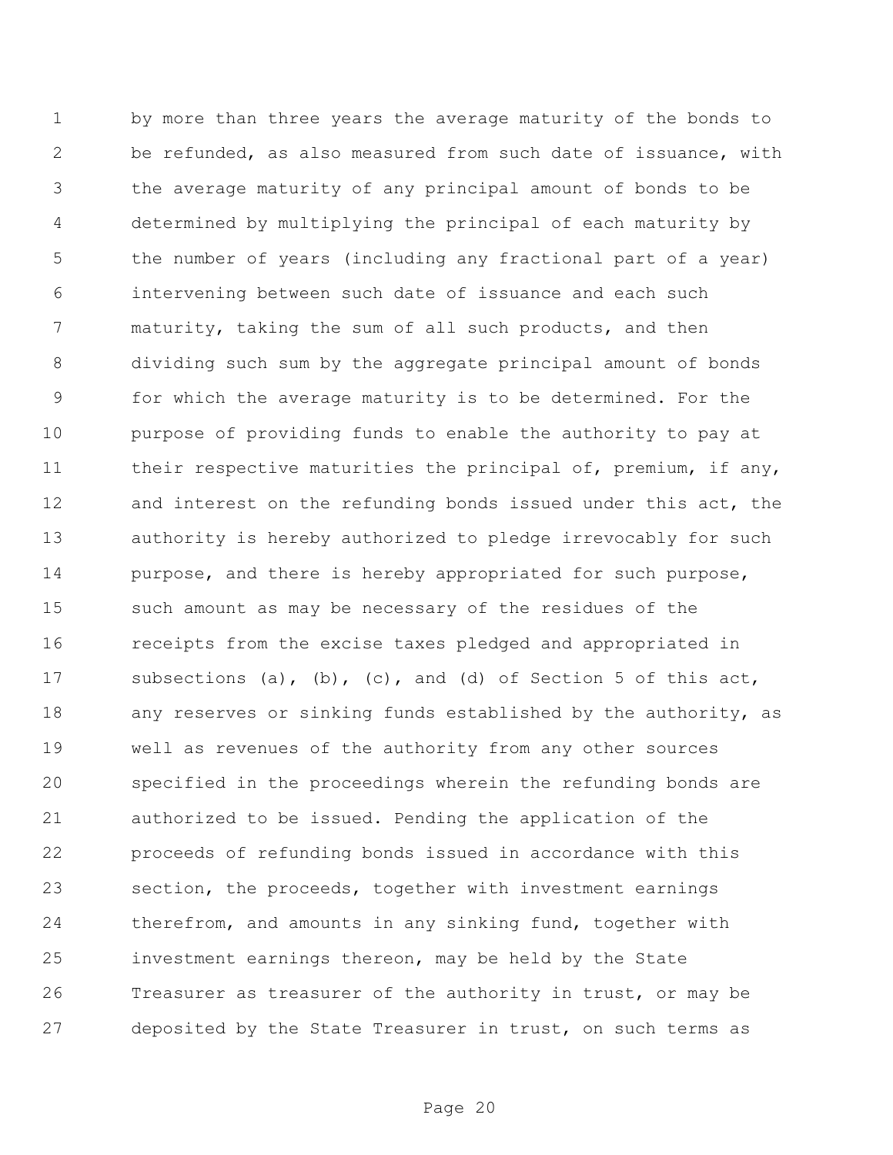by more than three years the average maturity of the bonds to be refunded, as also measured from such date of issuance, with the average maturity of any principal amount of bonds to be determined by multiplying the principal of each maturity by the number of years (including any fractional part of a year) intervening between such date of issuance and each such maturity, taking the sum of all such products, and then dividing such sum by the aggregate principal amount of bonds for which the average maturity is to be determined. For the purpose of providing funds to enable the authority to pay at 11 their respective maturities the principal of, premium, if any, and interest on the refunding bonds issued under this act, the authority is hereby authorized to pledge irrevocably for such purpose, and there is hereby appropriated for such purpose, such amount as may be necessary of the residues of the receipts from the excise taxes pledged and appropriated in subsections (a), (b), (c), and (d) of Section 5 of this act, any reserves or sinking funds established by the authority, as well as revenues of the authority from any other sources specified in the proceedings wherein the refunding bonds are authorized to be issued. Pending the application of the proceeds of refunding bonds issued in accordance with this section, the proceeds, together with investment earnings therefrom, and amounts in any sinking fund, together with investment earnings thereon, may be held by the State Treasurer as treasurer of the authority in trust, or may be deposited by the State Treasurer in trust, on such terms as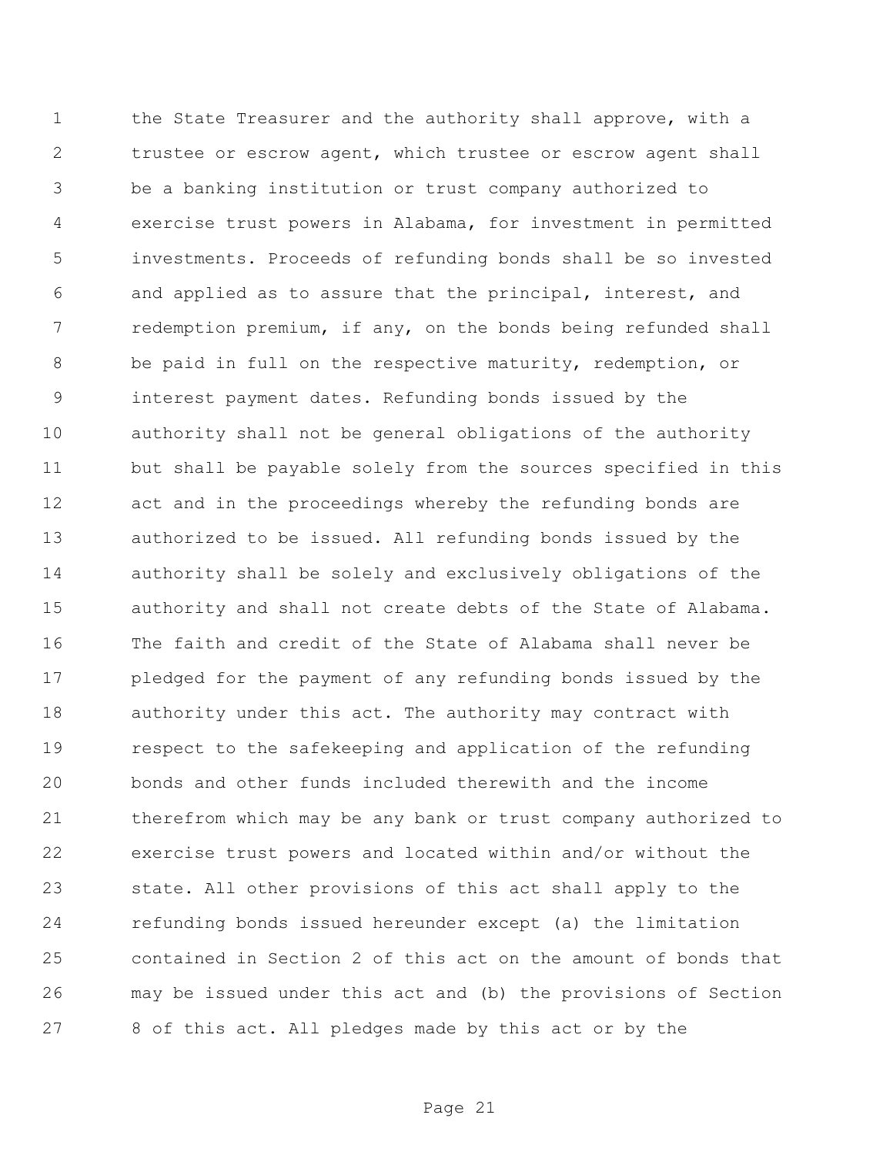the State Treasurer and the authority shall approve, with a trustee or escrow agent, which trustee or escrow agent shall be a banking institution or trust company authorized to exercise trust powers in Alabama, for investment in permitted investments. Proceeds of refunding bonds shall be so invested and applied as to assure that the principal, interest, and redemption premium, if any, on the bonds being refunded shall be paid in full on the respective maturity, redemption, or interest payment dates. Refunding bonds issued by the authority shall not be general obligations of the authority but shall be payable solely from the sources specified in this act and in the proceedings whereby the refunding bonds are authorized to be issued. All refunding bonds issued by the authority shall be solely and exclusively obligations of the authority and shall not create debts of the State of Alabama. The faith and credit of the State of Alabama shall never be pledged for the payment of any refunding bonds issued by the authority under this act. The authority may contract with respect to the safekeeping and application of the refunding bonds and other funds included therewith and the income therefrom which may be any bank or trust company authorized to exercise trust powers and located within and/or without the state. All other provisions of this act shall apply to the refunding bonds issued hereunder except (a) the limitation contained in Section 2 of this act on the amount of bonds that may be issued under this act and (b) the provisions of Section 8 of this act. All pledges made by this act or by the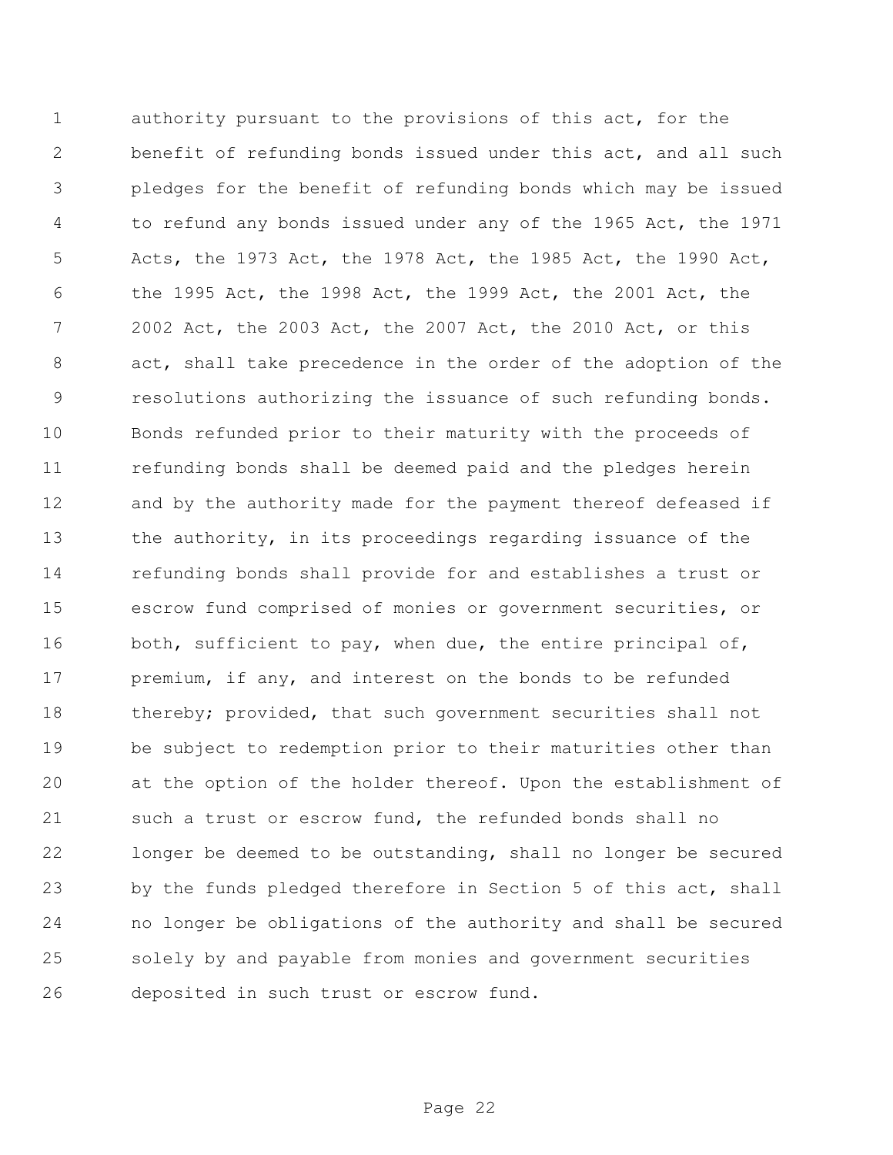authority pursuant to the provisions of this act, for the benefit of refunding bonds issued under this act, and all such pledges for the benefit of refunding bonds which may be issued to refund any bonds issued under any of the 1965 Act, the 1971 Acts, the 1973 Act, the 1978 Act, the 1985 Act, the 1990 Act, the 1995 Act, the 1998 Act, the 1999 Act, the 2001 Act, the 2002 Act, the 2003 Act, the 2007 Act, the 2010 Act, or this act, shall take precedence in the order of the adoption of the resolutions authorizing the issuance of such refunding bonds. Bonds refunded prior to their maturity with the proceeds of refunding bonds shall be deemed paid and the pledges herein and by the authority made for the payment thereof defeased if the authority, in its proceedings regarding issuance of the refunding bonds shall provide for and establishes a trust or escrow fund comprised of monies or government securities, or 16 both, sufficient to pay, when due, the entire principal of, 17 premium, if any, and interest on the bonds to be refunded 18 thereby; provided, that such government securities shall not be subject to redemption prior to their maturities other than at the option of the holder thereof. Upon the establishment of such a trust or escrow fund, the refunded bonds shall no longer be deemed to be outstanding, shall no longer be secured by the funds pledged therefore in Section 5 of this act, shall no longer be obligations of the authority and shall be secured solely by and payable from monies and government securities deposited in such trust or escrow fund.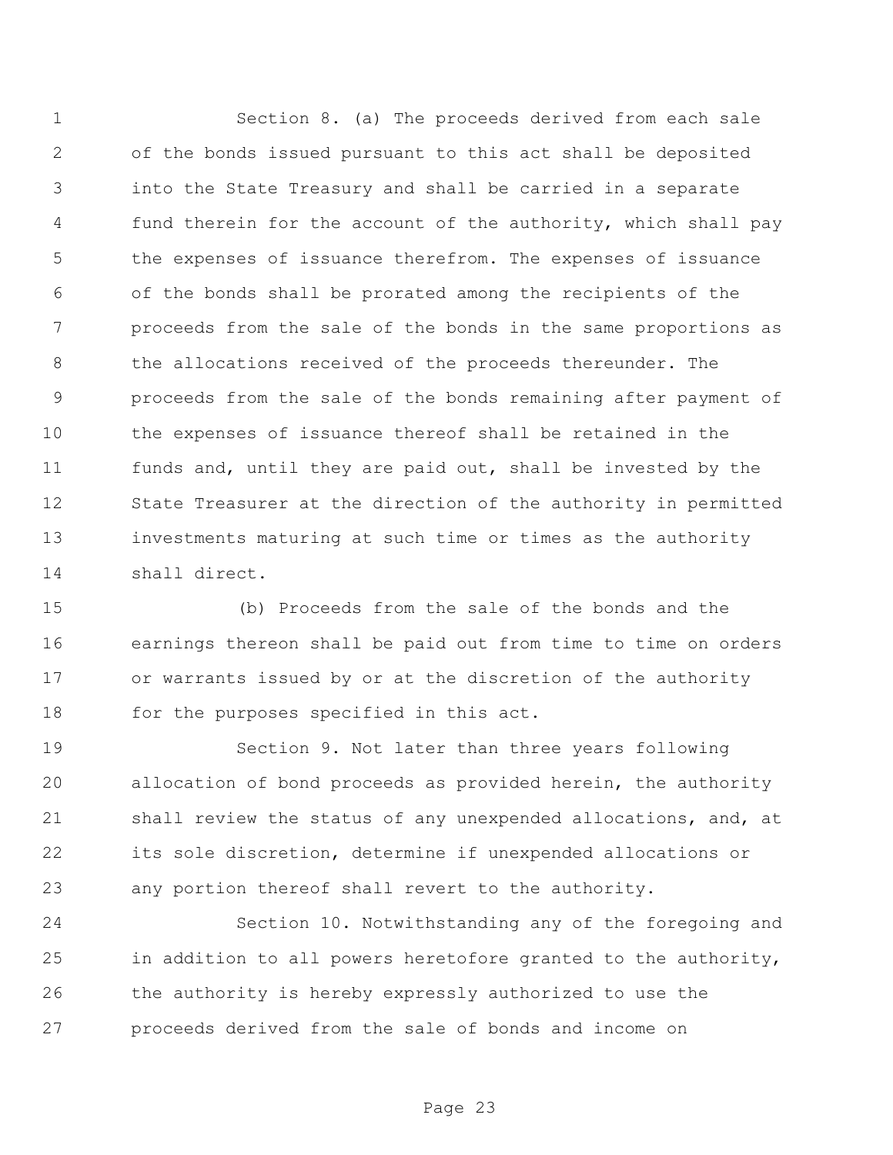Section 8. (a) The proceeds derived from each sale of the bonds issued pursuant to this act shall be deposited into the State Treasury and shall be carried in a separate fund therein for the account of the authority, which shall pay the expenses of issuance therefrom. The expenses of issuance of the bonds shall be prorated among the recipients of the proceeds from the sale of the bonds in the same proportions as the allocations received of the proceeds thereunder. The proceeds from the sale of the bonds remaining after payment of the expenses of issuance thereof shall be retained in the funds and, until they are paid out, shall be invested by the State Treasurer at the direction of the authority in permitted investments maturing at such time or times as the authority shall direct.

 (b) Proceeds from the sale of the bonds and the earnings thereon shall be paid out from time to time on orders or warrants issued by or at the discretion of the authority 18 for the purposes specified in this act.

 Section 9. Not later than three years following allocation of bond proceeds as provided herein, the authority shall review the status of any unexpended allocations, and, at its sole discretion, determine if unexpended allocations or any portion thereof shall revert to the authority.

 Section 10. Notwithstanding any of the foregoing and in addition to all powers heretofore granted to the authority, the authority is hereby expressly authorized to use the proceeds derived from the sale of bonds and income on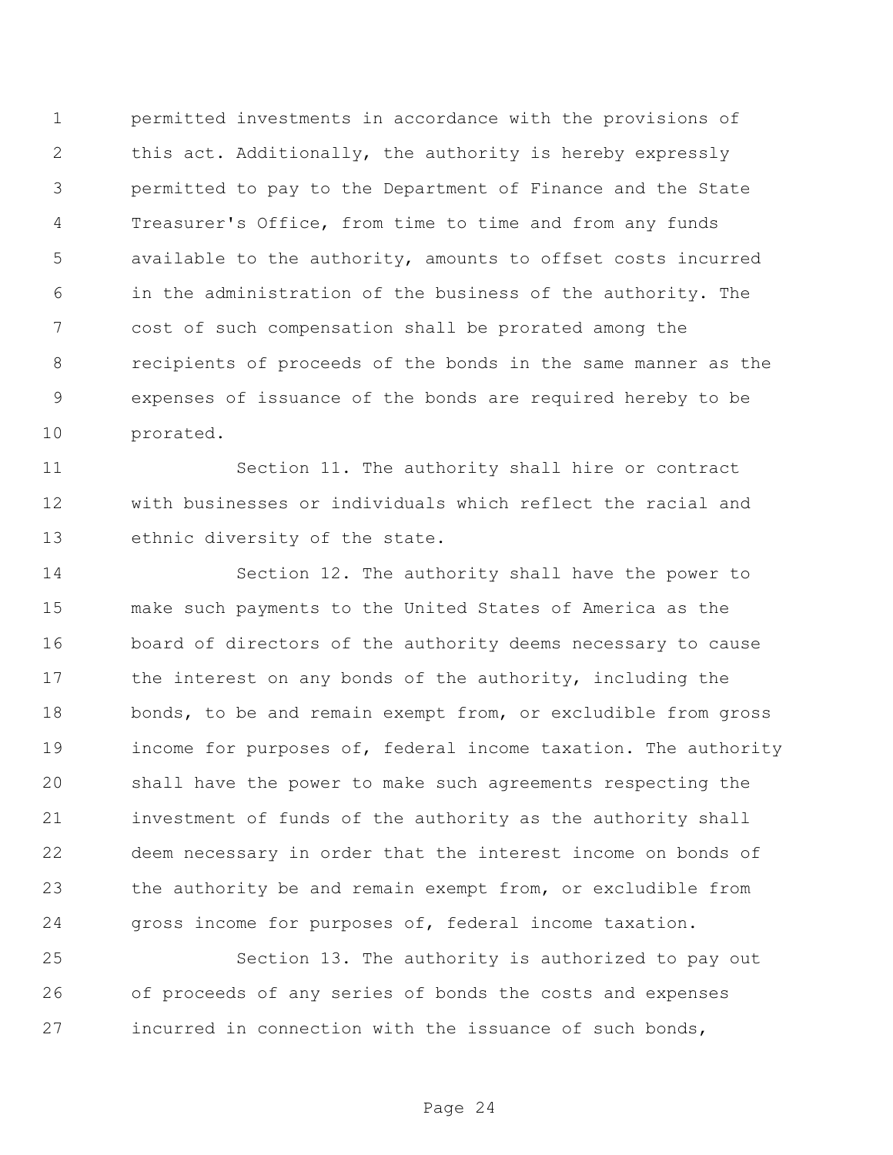permitted investments in accordance with the provisions of this act. Additionally, the authority is hereby expressly permitted to pay to the Department of Finance and the State Treasurer's Office, from time to time and from any funds available to the authority, amounts to offset costs incurred in the administration of the business of the authority. The cost of such compensation shall be prorated among the recipients of proceeds of the bonds in the same manner as the expenses of issuance of the bonds are required hereby to be prorated.

 Section 11. The authority shall hire or contract with businesses or individuals which reflect the racial and ethnic diversity of the state.

 Section 12. The authority shall have the power to make such payments to the United States of America as the board of directors of the authority deems necessary to cause 17 the interest on any bonds of the authority, including the bonds, to be and remain exempt from, or excludible from gross income for purposes of, federal income taxation. The authority shall have the power to make such agreements respecting the investment of funds of the authority as the authority shall deem necessary in order that the interest income on bonds of the authority be and remain exempt from, or excludible from gross income for purposes of, federal income taxation.

 Section 13. The authority is authorized to pay out of proceeds of any series of bonds the costs and expenses incurred in connection with the issuance of such bonds,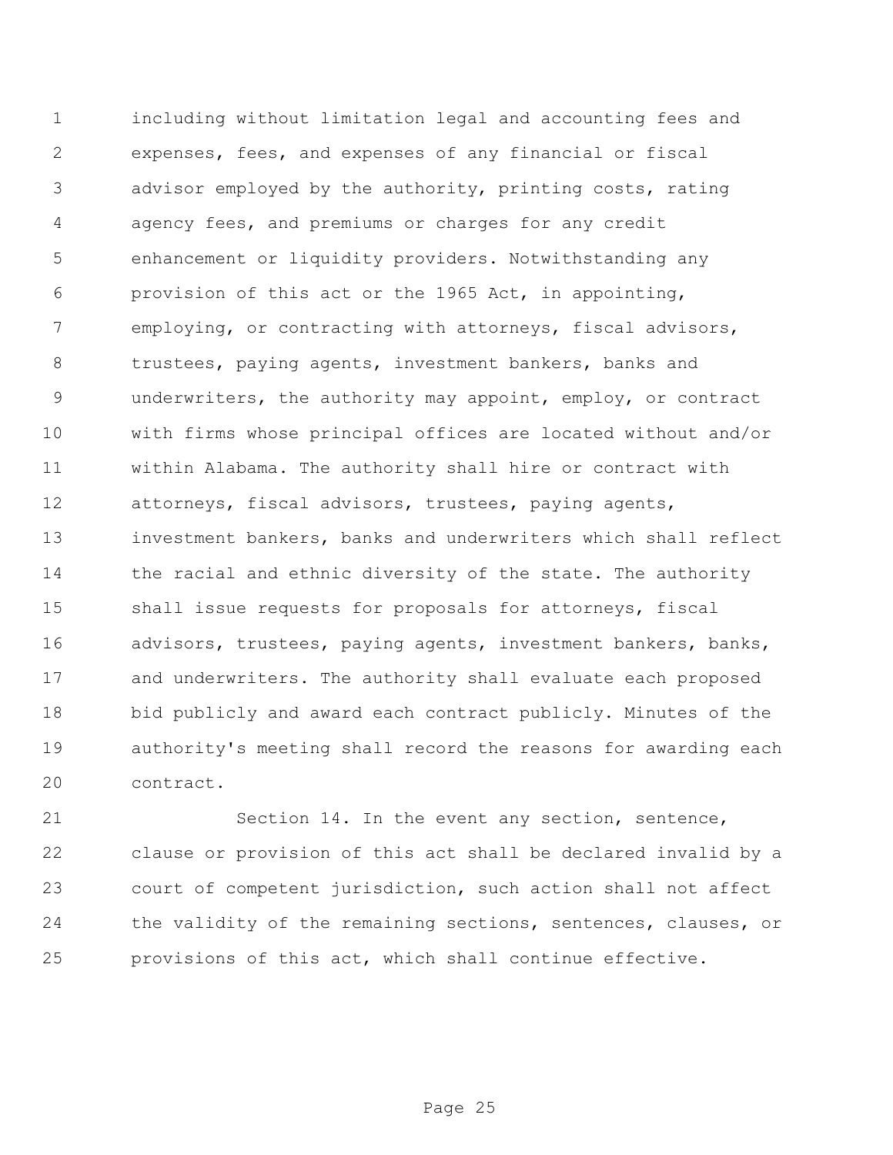including without limitation legal and accounting fees and expenses, fees, and expenses of any financial or fiscal advisor employed by the authority, printing costs, rating agency fees, and premiums or charges for any credit enhancement or liquidity providers. Notwithstanding any provision of this act or the 1965 Act, in appointing, employing, or contracting with attorneys, fiscal advisors, trustees, paying agents, investment bankers, banks and underwriters, the authority may appoint, employ, or contract with firms whose principal offices are located without and/or within Alabama. The authority shall hire or contract with attorneys, fiscal advisors, trustees, paying agents, investment bankers, banks and underwriters which shall reflect 14 the racial and ethnic diversity of the state. The authority shall issue requests for proposals for attorneys, fiscal advisors, trustees, paying agents, investment bankers, banks, and underwriters. The authority shall evaluate each proposed bid publicly and award each contract publicly. Minutes of the authority's meeting shall record the reasons for awarding each contract.

 Section 14. In the event any section, sentence, clause or provision of this act shall be declared invalid by a court of competent jurisdiction, such action shall not affect the validity of the remaining sections, sentences, clauses, or provisions of this act, which shall continue effective.